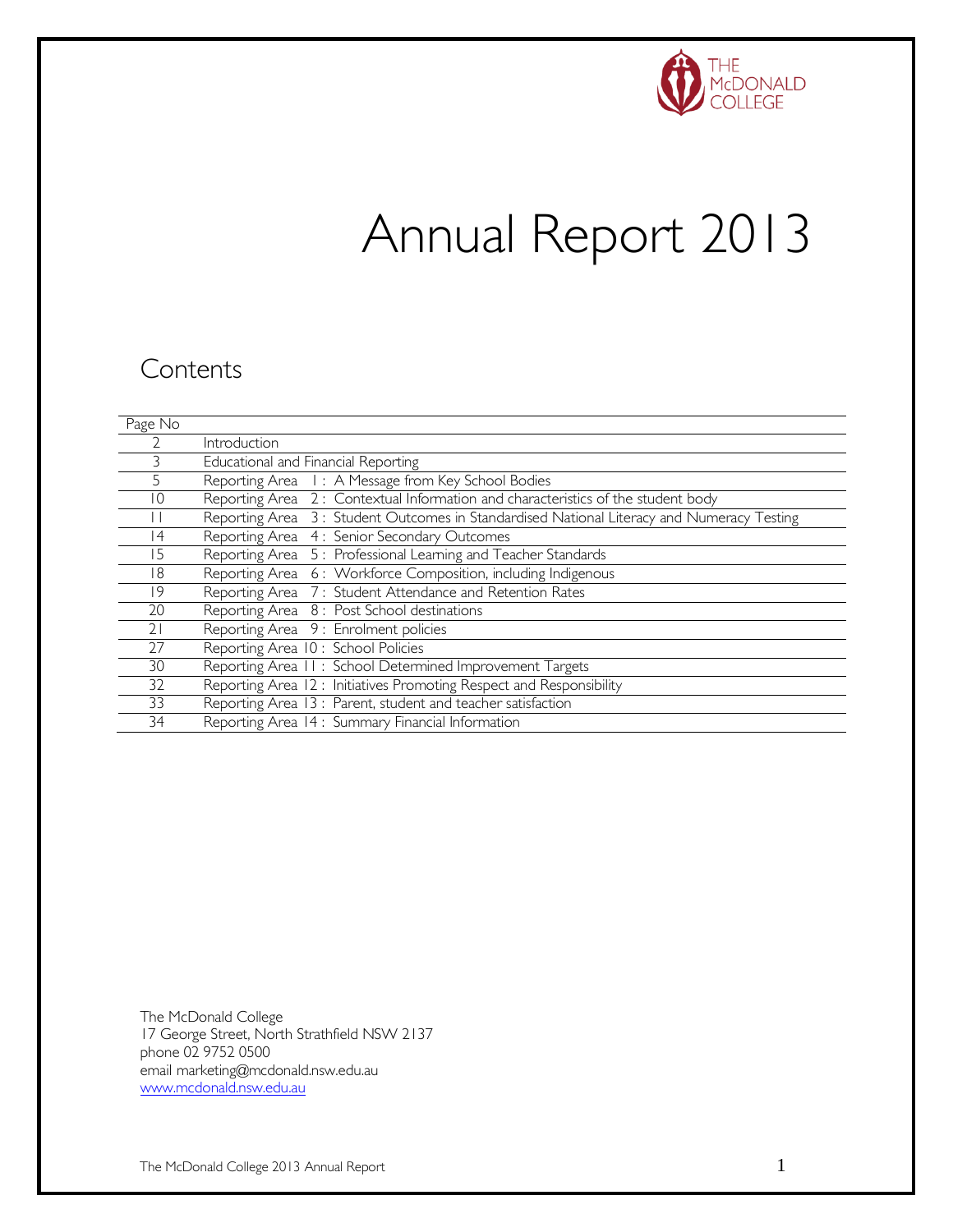

# Annual Report 2013

### **Contents**

| Page No         |                                                                                           |
|-----------------|-------------------------------------------------------------------------------------------|
|                 | Introduction                                                                              |
|                 | Educational and Financial Reporting                                                       |
|                 | Reporting Area I: A Message from Key School Bodies                                        |
| 10              | Reporting Area 2: Contextual Information and characteristics of the student body          |
|                 | Reporting Area 3: Student Outcomes in Standardised National Literacy and Numeracy Testing |
| $\vert 4 \vert$ | Reporting Area 4: Senior Secondary Outcomes                                               |
| 5               | Reporting Area 5: Professional Learning and Teacher Standards                             |
| 18              | Reporting Area 6: Workforce Composition, including Indigenous                             |
| 19              | Reporting Area 7: Student Attendance and Retention Rates                                  |
| 20              | Reporting Area 8: Post School destinations                                                |
| 21              | Reporting Area 9: Enrolment policies                                                      |
| 27              | Reporting Area 10: School Policies                                                        |
| 30              | Reporting Area 11: School Determined Improvement Targets                                  |
| 32              | Reporting Area 12: Initiatives Promoting Respect and Responsibility                       |
| 33              | Reporting Area 13 : Parent, student and teacher satisfaction                              |
| 34              | Reporting Area 14 : Summary Financial Information                                         |

The McDonald College 17 George Street, North Strathfield NSW 2137 phone 02 9752 0500 email marketing@mcdonald.nsw.edu.au [www.mcdonald.nsw.edu.au](http://www.mcdonald.nsw.edu.au/)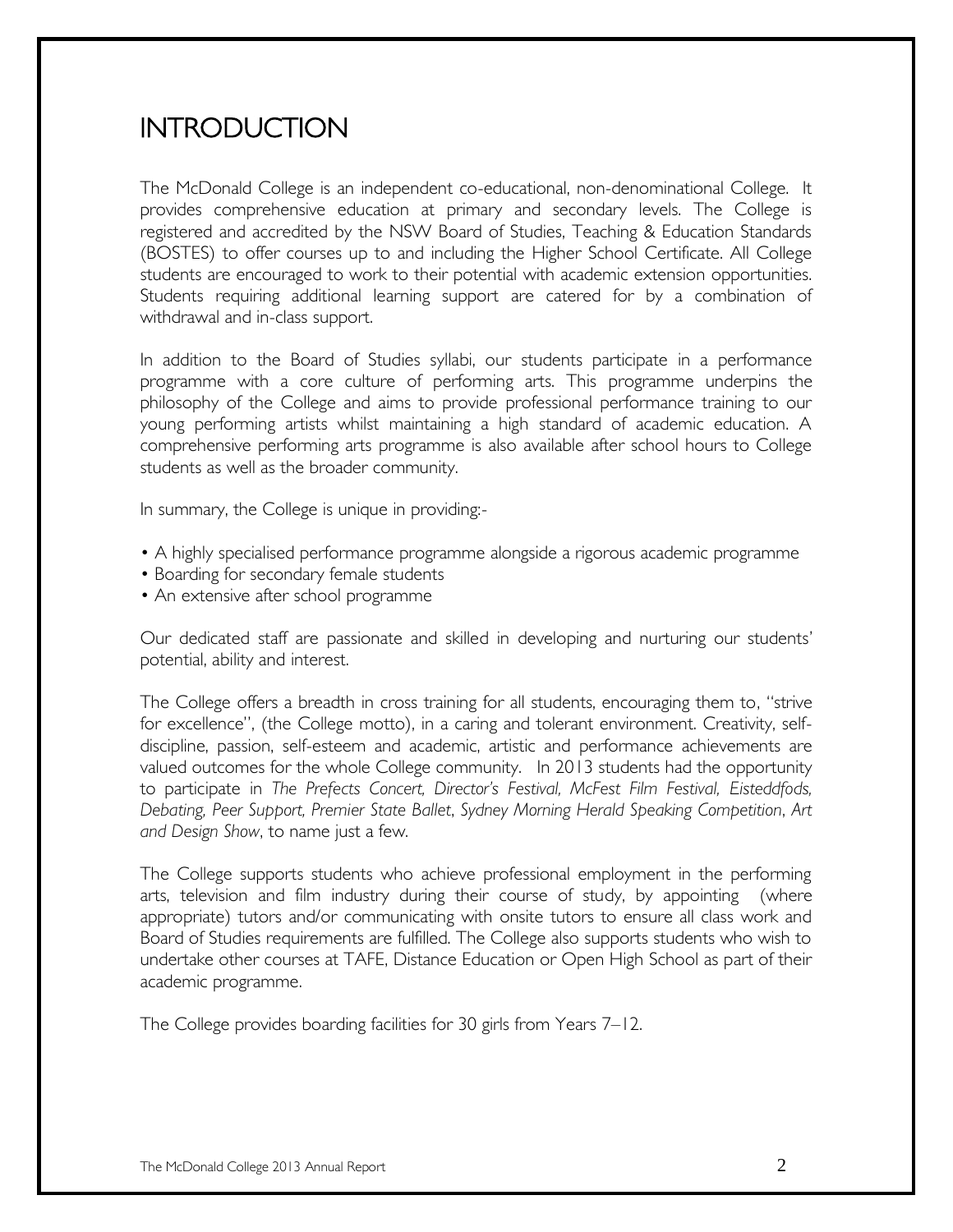# **INTRODUCTION**

The McDonald College is an independent co-educational, non-denominational College. It provides comprehensive education at primary and secondary levels. The College is registered and accredited by the NSW Board of Studies, Teaching & Education Standards (BOSTES) to offer courses up to and including the Higher School Certificate. All College students are encouraged to work to their potential with academic extension opportunities. Students requiring additional learning support are catered for by a combination of withdrawal and in-class support.

In addition to the Board of Studies syllabi, our students participate in a performance programme with a core culture of performing arts. This programme underpins the philosophy of the College and aims to provide professional performance training to our young performing artists whilst maintaining a high standard of academic education. A comprehensive performing arts programme is also available after school hours to College students as well as the broader community.

In summary, the College is unique in providing:-

- A highly specialised performance programme alongside a rigorous academic programme
- Boarding for secondary female students
- An extensive after school programme

Our dedicated staff are passionate and skilled in developing and nurturing our students' potential, ability and interest.

The College offers a breadth in cross training for all students, encouraging them to, "strive for excellence", (the College motto), in a caring and tolerant environment. Creativity, selfdiscipline, passion, self-esteem and academic, artistic and performance achievements are valued outcomes for the whole College community. In 2013 students had the opportunity to participate in *The Prefects Concert, Director's Festival, McFest Film Festival, Eisteddfods, Debating, Peer Support, Premier State Ballet*, *Sydney Morning Herald Speaking Competition*, *Art and Design Show*, to name just a few.

The College supports students who achieve professional employment in the performing arts, television and film industry during their course of study, by appointing (where appropriate) tutors and/or communicating with onsite tutors to ensure all class work and Board of Studies requirements are fulfilled. The College also supports students who wish to undertake other courses at TAFE, Distance Education or Open High School as part of their academic programme.

The College provides boarding facilities for 30 girls from Years 7–12.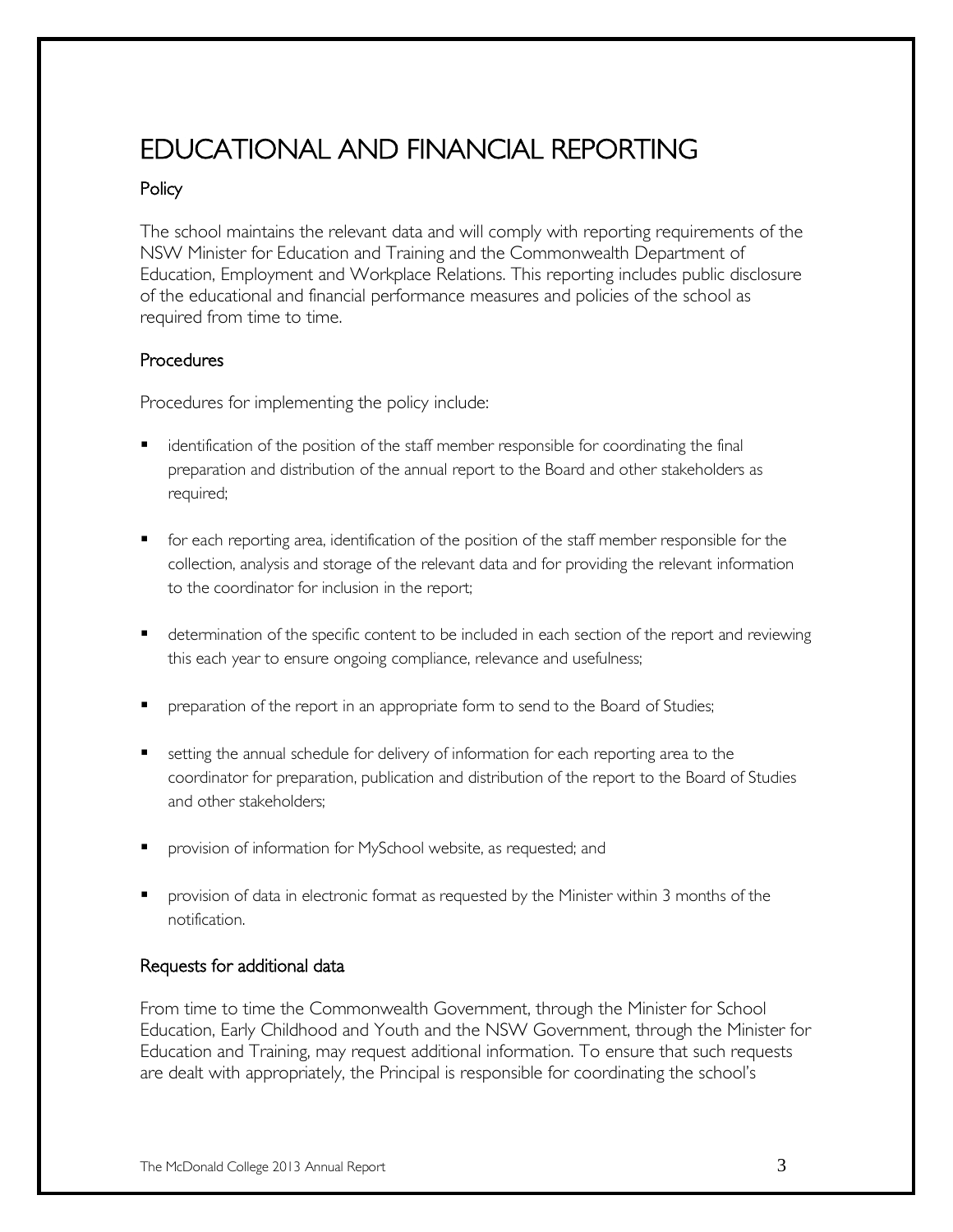# EDUCATIONAL AND FINANCIAL REPORTING

### **Policy**

The school maintains the relevant data and will comply with reporting requirements of the NSW Minister for Education and Training and the Commonwealth Department of Education, Employment and Workplace Relations. This reporting includes public disclosure of the educational and financial performance measures and policies of the school as required from time to time.

### **Procedures**

Procedures for implementing the policy include:

- **•** identification of the position of the staff member responsible for coordinating the final preparation and distribution of the annual report to the Board and other stakeholders as required;
- **F** for each reporting area, identification of the position of the staff member responsible for the collection, analysis and storage of the relevant data and for providing the relevant information to the coordinator for inclusion in the report;
- **•** determination of the specific content to be included in each section of the report and reviewing this each year to ensure ongoing compliance, relevance and usefulness;
- **P** preparation of the report in an appropriate form to send to the Board of Studies;
- **setting the annual schedule for delivery of information for each reporting area to the** coordinator for preparation, publication and distribution of the report to the Board of Studies and other stakeholders;
- provision of information for MySchool website, as requested; and
- **Phonol** provision of data in electronic format as requested by the Minister within 3 months of the notification.

### Requests for additional data

From time to time the Commonwealth Government, through the Minister for School Education, Early Childhood and Youth and the NSW Government, through the Minister for Education and Training, may request additional information. To ensure that such requests are dealt with appropriately, the Principal is responsible for coordinating the school's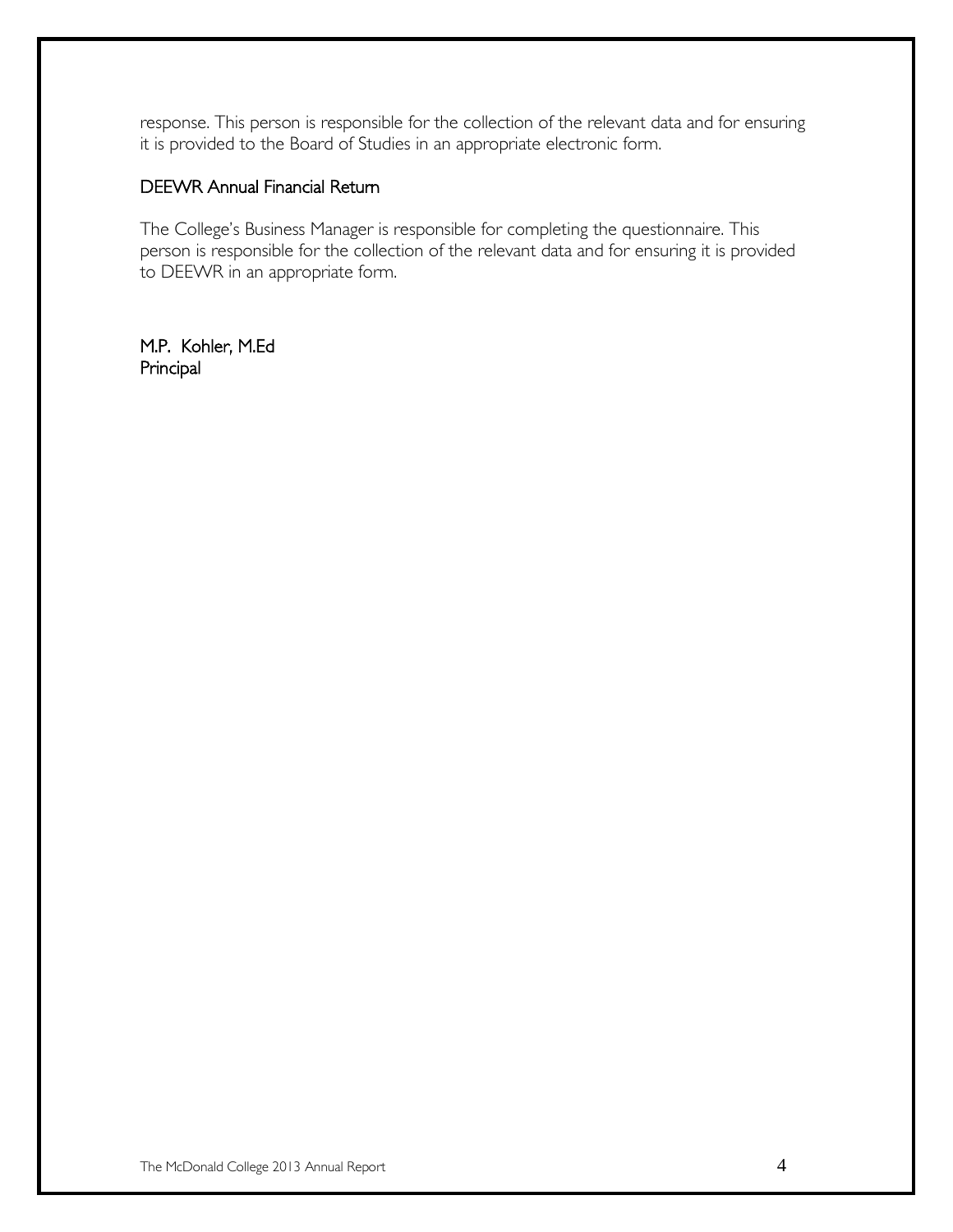response. This person is responsible for the collection of the relevant data and for ensuring it is provided to the Board of Studies in an appropriate electronic form.

### DEEWR Annual Financial Return

The College's Business Manager is responsible for completing the questionnaire. This person is responsible for the collection of the relevant data and for ensuring it is provided to DEEWR in an appropriate form.

M.P. Kohler, M.Ed Principal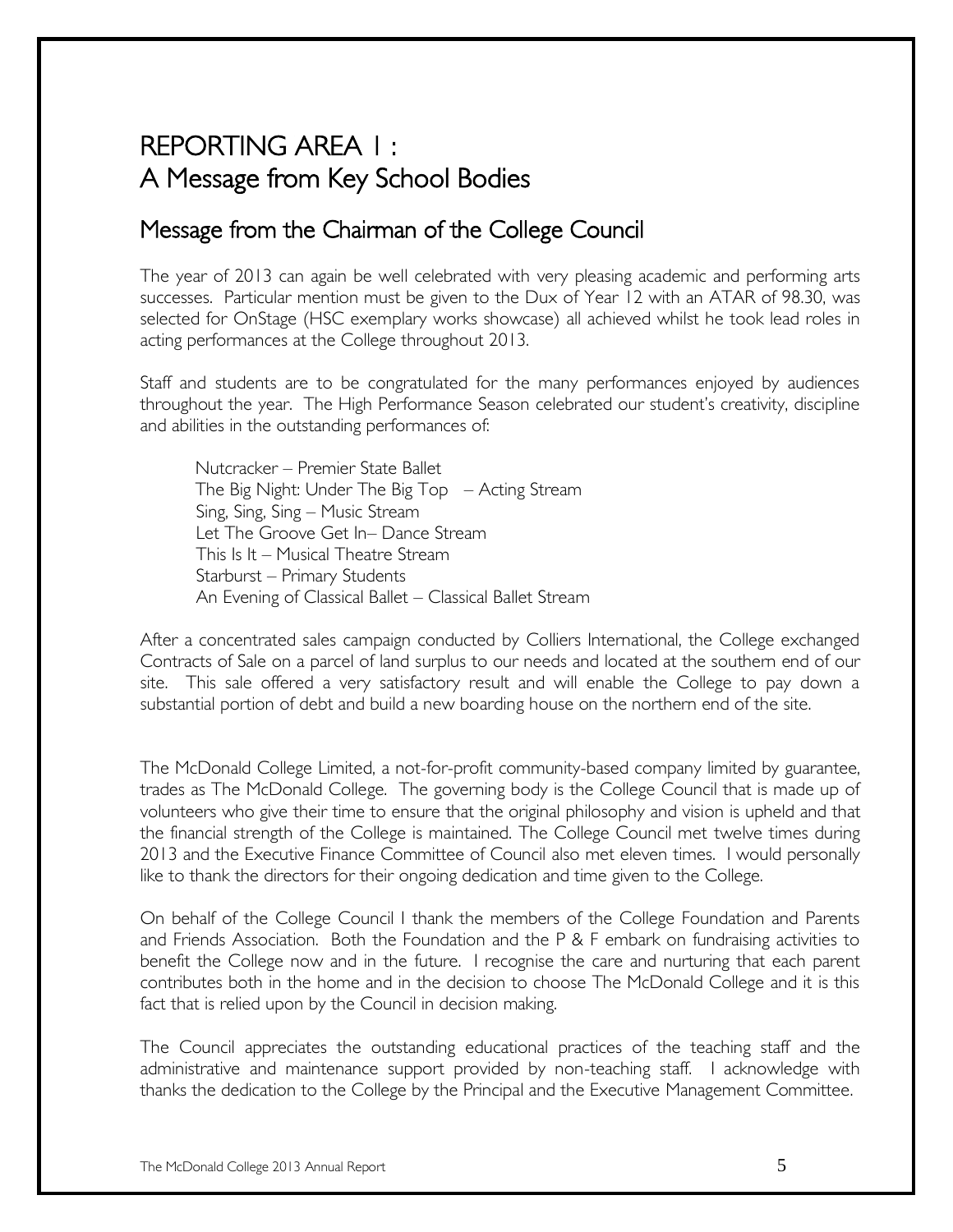# REPORTING AREA 1 : A Message from Key School Bodies

### Message from the Chairman of the College Council

The year of 2013 can again be well celebrated with very pleasing academic and performing arts successes. Particular mention must be given to the Dux of Year 12 with an ATAR of 98.30, was selected for OnStage (HSC exemplary works showcase) all achieved whilst he took lead roles in acting performances at the College throughout 2013.

Staff and students are to be congratulated for the many performances enjoyed by audiences throughout the year. The High Performance Season celebrated our student's creativity, discipline and abilities in the outstanding performances of:

Nutcracker – Premier State Ballet The Big Night: Under The Big Top – Acting Stream Sing, Sing, Sing – Music Stream Let The Groove Get In– Dance Stream This Is It – Musical Theatre Stream Starburst – Primary Students An Evening of Classical Ballet – Classical Ballet Stream

After a concentrated sales campaign conducted by Colliers International, the College exchanged Contracts of Sale on a parcel of land surplus to our needs and located at the southern end of our site. This sale offered a very satisfactory result and will enable the College to pay down a substantial portion of debt and build a new boarding house on the northern end of the site.

The McDonald College Limited, a not-for-profit community-based company limited by guarantee, trades as The McDonald College. The governing body is the College Council that is made up of volunteers who give their time to ensure that the original philosophy and vision is upheld and that the financial strength of the College is maintained. The College Council met twelve times during 2013 and the Executive Finance Committee of Council also met eleven times. I would personally like to thank the directors for their ongoing dedication and time given to the College.

On behalf of the College Council I thank the members of the College Foundation and Parents and Friends Association. Both the Foundation and the P & F embark on fundraising activities to benefit the College now and in the future. I recognise the care and nurturing that each parent contributes both in the home and in the decision to choose The McDonald College and it is this fact that is relied upon by the Council in decision making.

The Council appreciates the outstanding educational practices of the teaching staff and the administrative and maintenance support provided by non-teaching staff. I acknowledge with thanks the dedication to the College by the Principal and the Executive Management Committee.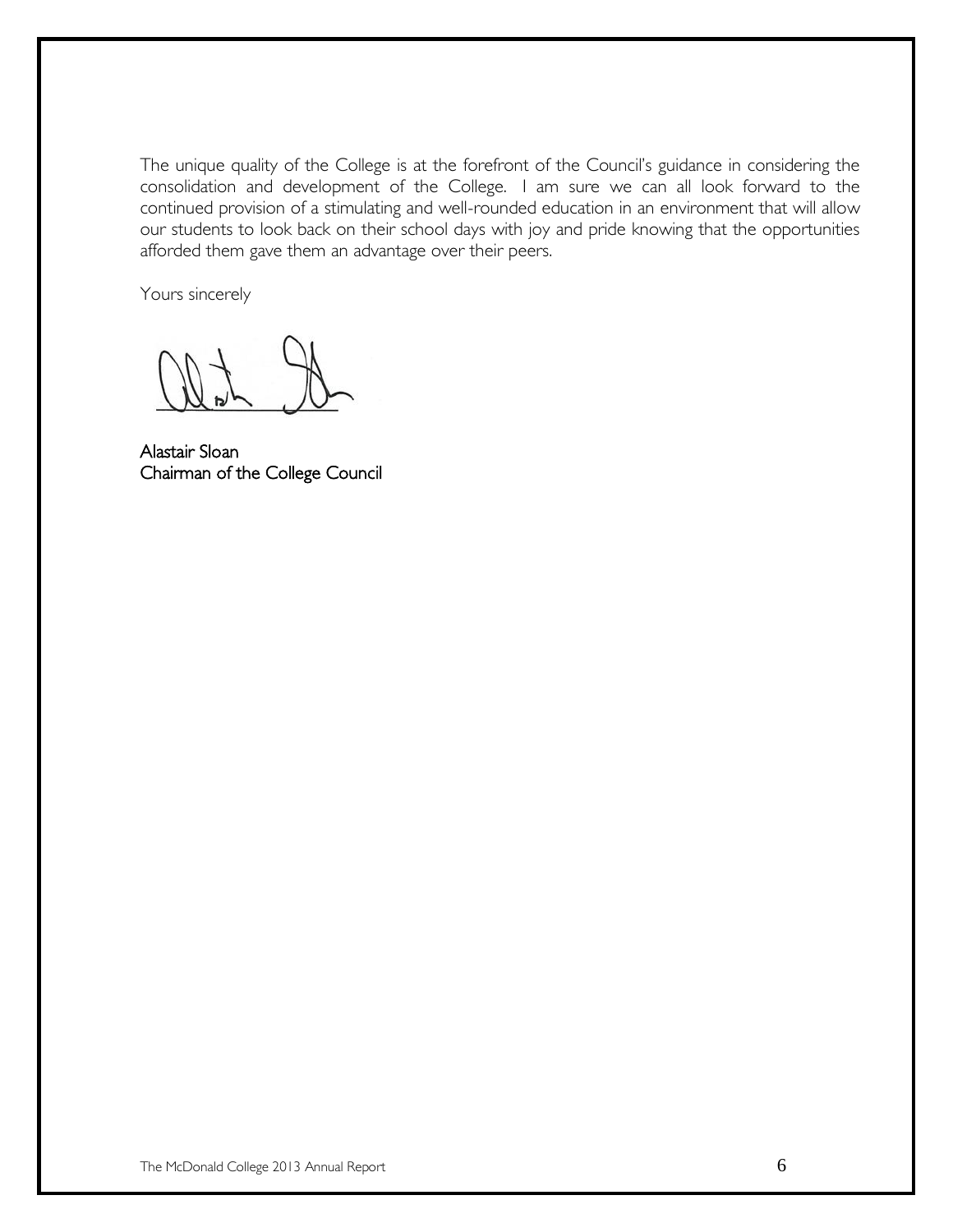The unique quality of the College is at the forefront of the Council's guidance in considering the consolidation and development of the College. I am sure we can all look forward to the continued provision of a stimulating and well-rounded education in an environment that will allow our students to look back on their school days with joy and pride knowing that the opportunities afforded them gave them an advantage over their peers.

Yours sincerely

Alastair Sloan Chairman of the College Council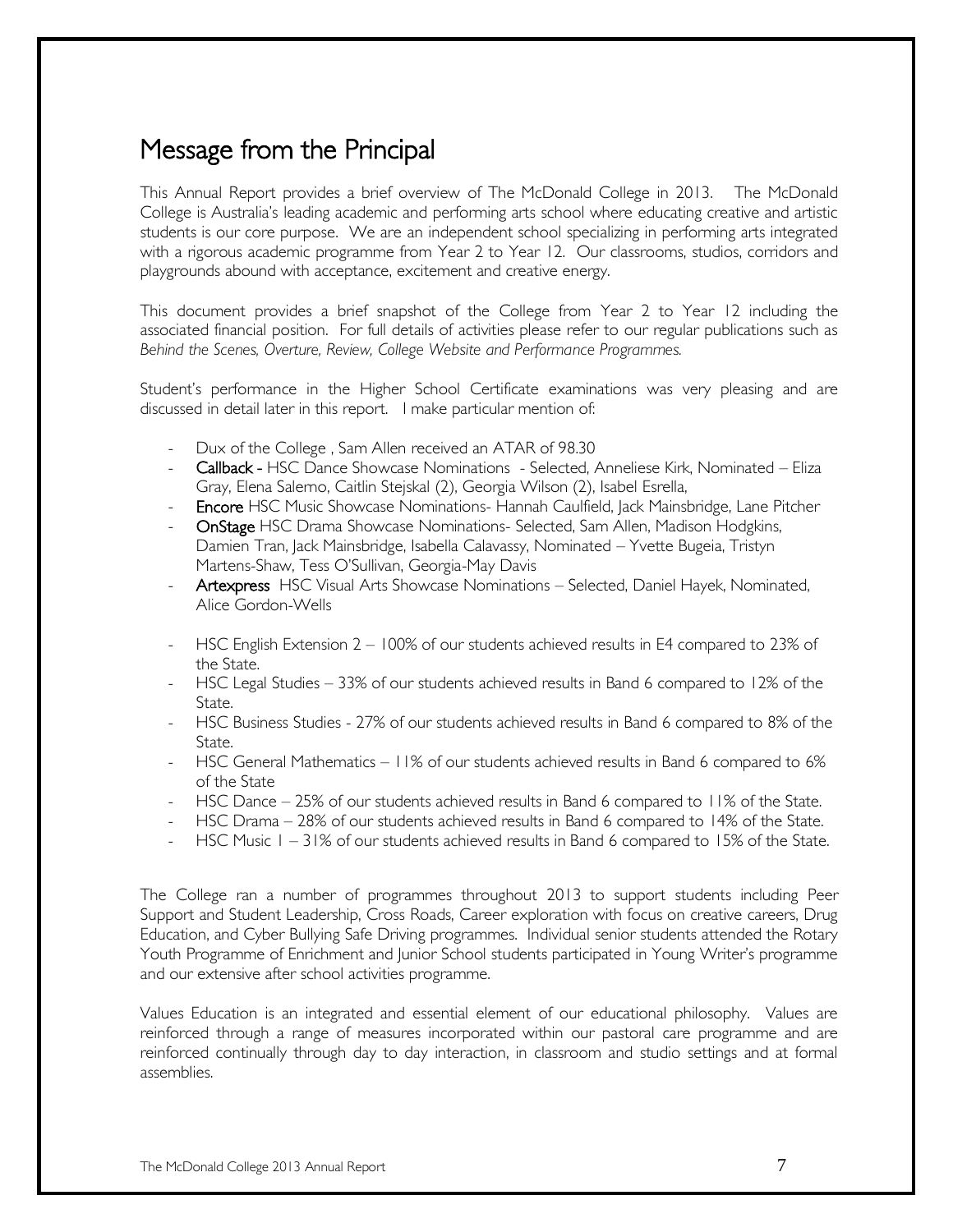# Message from the Principal

This Annual Report provides a brief overview of The McDonald College in 2013. The McDonald College is Australia's leading academic and performing arts school where educating creative and artistic students is our core purpose. We are an independent school specializing in performing arts integrated with a rigorous academic programme from Year 2 to Year 12. Our classrooms, studios, corridors and playgrounds abound with acceptance, excitement and creative energy.

This document provides a brief snapshot of the College from Year 2 to Year 12 including the associated financial position. For full details of activities please refer to our regular publications such as *Behind the Scenes, Overture, Review, College Website and Performance Programmes.*

Student's performance in the Higher School Certificate examinations was very pleasing and are discussed in detail later in this report. I make particular mention of:

- Dux of the College, Sam Allen received an ATAR of 98.30
- Callback HSC Dance Showcase Nominations Selected, Anneliese Kirk, Nominated Eliza Gray, Elena Salerno, Caitlin Stejskal (2), Georgia Wilson (2), Isabel Esrella,
- Encore HSC Music Showcase Nominations- Hannah Caulfield, Jack Mainsbridge, Lane Pitcher
- OnStage HSC Drama Showcase Nominations- Selected, Sam Allen, Madison Hodgkins, Damien Tran, Jack Mainsbridge, Isabella Calavassy, Nominated – Yvette Bugeia, Tristyn Martens-Shaw, Tess O'Sullivan, Georgia-May Davis
- Artexpress HSC Visual Arts Showcase Nominations Selected, Daniel Hayek, Nominated, Alice Gordon-Wells
- HSC English Extension 2 100% of our students achieved results in E4 compared to 23% of the State.
- HSC Legal Studies 33% of our students achieved results in Band 6 compared to 12% of the State.
- HSC Business Studies 27% of our students achieved results in Band 6 compared to 8% of the State.
- HSC General Mathematics 11% of our students achieved results in Band 6 compared to 6% of the State
- HSC Dance 25% of our students achieved results in Band 6 compared to 11% of the State.
- HSC Drama 28% of our students achieved results in Band 6 compared to 14% of the State.
- HSC Music 1 31% of our students achieved results in Band 6 compared to 15% of the State.

The College ran a number of programmes throughout 2013 to support students including Peer Support and Student Leadership, Cross Roads, Career exploration with focus on creative careers, Drug Education, and Cyber Bullying Safe Driving programmes. Individual senior students attended the Rotary Youth Programme of Enrichment and Junior School students participated in Young Writer's programme and our extensive after school activities programme.

Values Education is an integrated and essential element of our educational philosophy. Values are reinforced through a range of measures incorporated within our pastoral care programme and are reinforced continually through day to day interaction, in classroom and studio settings and at formal assemblies.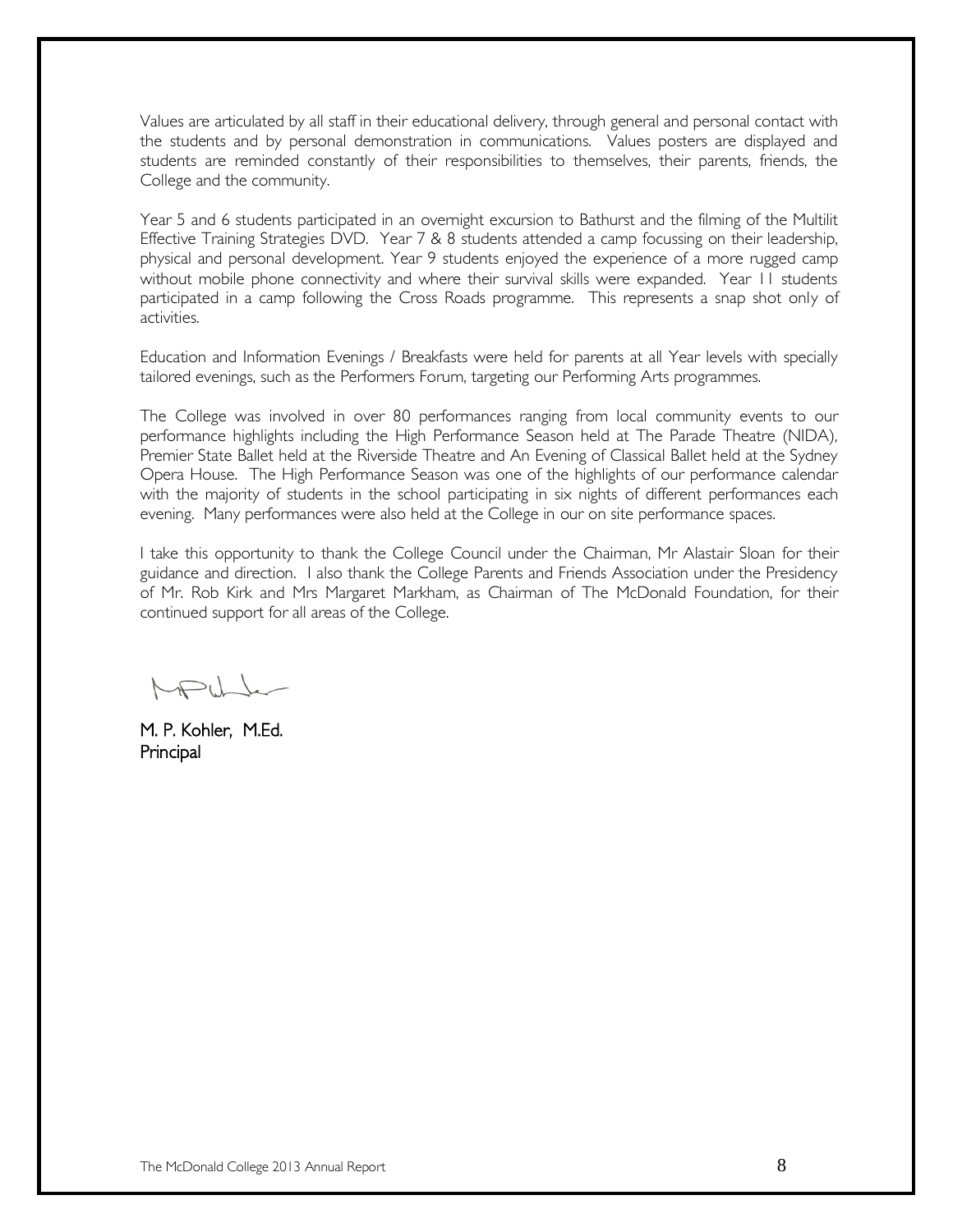Values are articulated by all staff in their educational delivery, through general and personal contact with the students and by personal demonstration in communications. Values posters are displayed and students are reminded constantly of their responsibilities to themselves, their parents, friends, the College and the community.

Year 5 and 6 students participated in an overnight excursion to Bathurst and the filming of the Multilit Effective Training Strategies DVD. Year 7 & 8 students attended a camp focussing on their leadership, physical and personal development. Year 9 students enjoyed the experience of a more rugged camp without mobile phone connectivity and where their survival skills were expanded. Year 11 students participated in a camp following the Cross Roads programme. This represents a snap shot only of activities.

Education and Information Evenings / Breakfasts were held for parents at all Year levels with specially tailored evenings, such as the Performers Forum, targeting our Performing Arts programmes.

The College was involved in over 80 performances ranging from local community events to our performance highlights including the High Performance Season held at The Parade Theatre (NIDA), Premier State Ballet held at the Riverside Theatre and An Evening of Classical Ballet held at the Sydney Opera House. The High Performance Season was one of the highlights of our performance calendar with the majority of students in the school participating in six nights of different performances each evening. Many performances were also held at the College in our on site performance spaces.

I take this opportunity to thank the College Council under the Chairman, Mr Alastair Sloan for their guidance and direction. I also thank the College Parents and Friends Association under the Presidency of Mr. Rob Kirk and Mrs Margaret Markham, as Chairman of The McDonald Foundation, for their continued support for all areas of the College.

MAUL

M. P. Kohler, M.Ed. Principal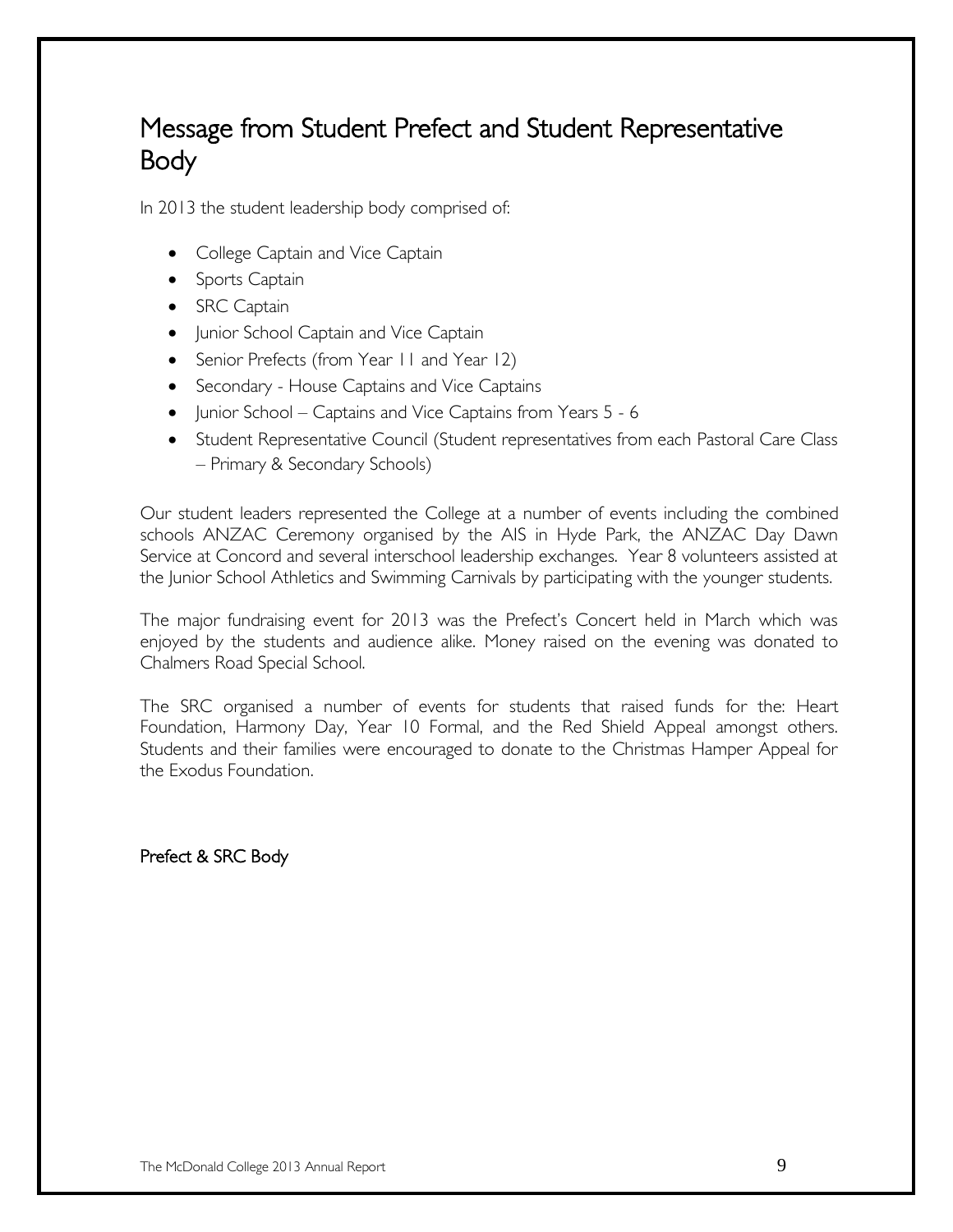# Message from Student Prefect and Student Representative Body

In 2013 the student leadership body comprised of:

- College Captain and Vice Captain
- Sports Captain
- SRC Captain
- Junior School Captain and Vice Captain
- Senior Prefects (from Year II and Year 12)
- Secondary House Captains and Vice Captains
- Junior School Captains and Vice Captains from Years 5 6
- Student Representative Council (Student representatives from each Pastoral Care Class – Primary & Secondary Schools)

Our student leaders represented the College at a number of events including the combined schools ANZAC Ceremony organised by the AIS in Hyde Park, the ANZAC Day Dawn Service at Concord and several interschool leadership exchanges. Year 8 volunteers assisted at the Junior School Athletics and Swimming Carnivals by participating with the younger students.

The major fundraising event for 2013 was the Prefect's Concert held in March which was enjoyed by the students and audience alike. Money raised on the evening was donated to Chalmers Road Special School.

The SRC organised a number of events for students that raised funds for the: Heart Foundation, Harmony Day, Year 10 Formal, and the Red Shield Appeal amongst others. Students and their families were encouraged to donate to the Christmas Hamper Appeal for the Exodus Foundation.

Prefect & SRC Body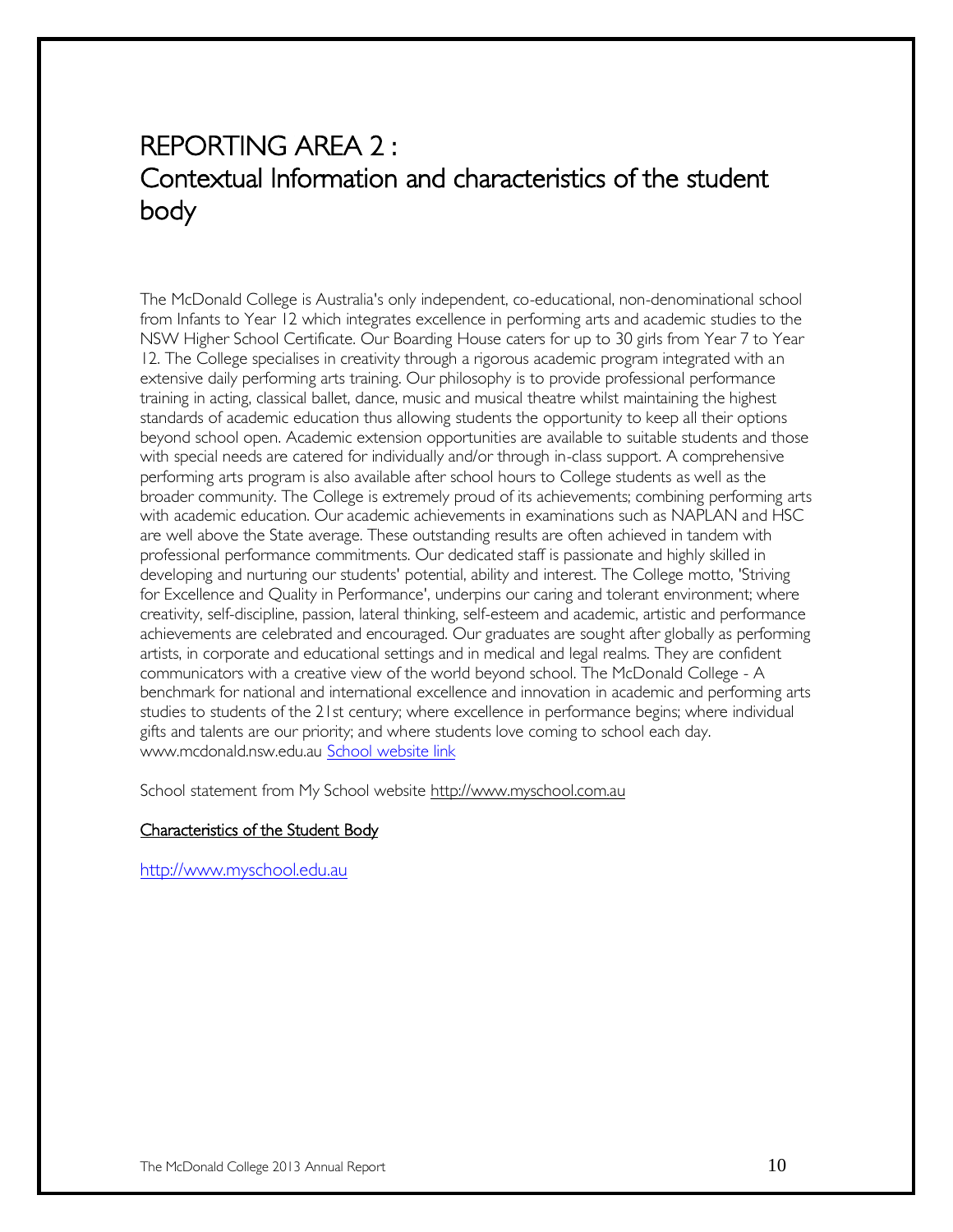# REPORTING AREA 2 : Contextual Information and characteristics of the student body

The McDonald College is Australia's only independent, co-educational, non-denominational school from Infants to Year 12 which integrates excellence in performing arts and academic studies to the NSW Higher School Certificate. Our Boarding House caters for up to 30 girls from Year 7 to Year 12. The College specialises in creativity through a rigorous academic program integrated with an extensive daily performing arts training. Our philosophy is to provide professional performance training in acting, classical ballet, dance, music and musical theatre whilst maintaining the highest standards of academic education thus allowing students the opportunity to keep all their options beyond school open. Academic extension opportunities are available to suitable students and those with special needs are catered for individually and/or through in-class support. A comprehensive performing arts program is also available after school hours to College students as well as the broader community. The College is extremely proud of its achievements; combining performing arts with academic education. Our academic achievements in examinations such as NAPLAN and HSC are well above the State average. These outstanding results are often achieved in tandem with professional performance commitments. Our dedicated staff is passionate and highly skilled in developing and nurturing our students' potential, ability and interest. The College motto, 'Striving for Excellence and Quality in Performance', underpins our caring and tolerant environment; where creativity, self-discipline, passion, lateral thinking, self-esteem and academic, artistic and performance achievements are celebrated and encouraged. Our graduates are sought after globally as performing artists, in corporate and educational settings and in medical and legal realms. They are confident communicators with a creative view of the world beyond school. The McDonald College - A benchmark for national and international excellence and innovation in academic and performing arts studies to students of the 21st century; where excellence in performance begins; where individual gifts and talents are our priority; and where students love coming to school each day. www.mcdonald.nsw.edu.au [School website link](http://www.mcdonald.nsw.edu.au/) 

School statement from My School website [http://www.myschool.com.au](http://www.myschool.com.au/)

#### Characteristics of the Student Body

[http://www.myschool.edu.au](http://www.myschool.edu.au/)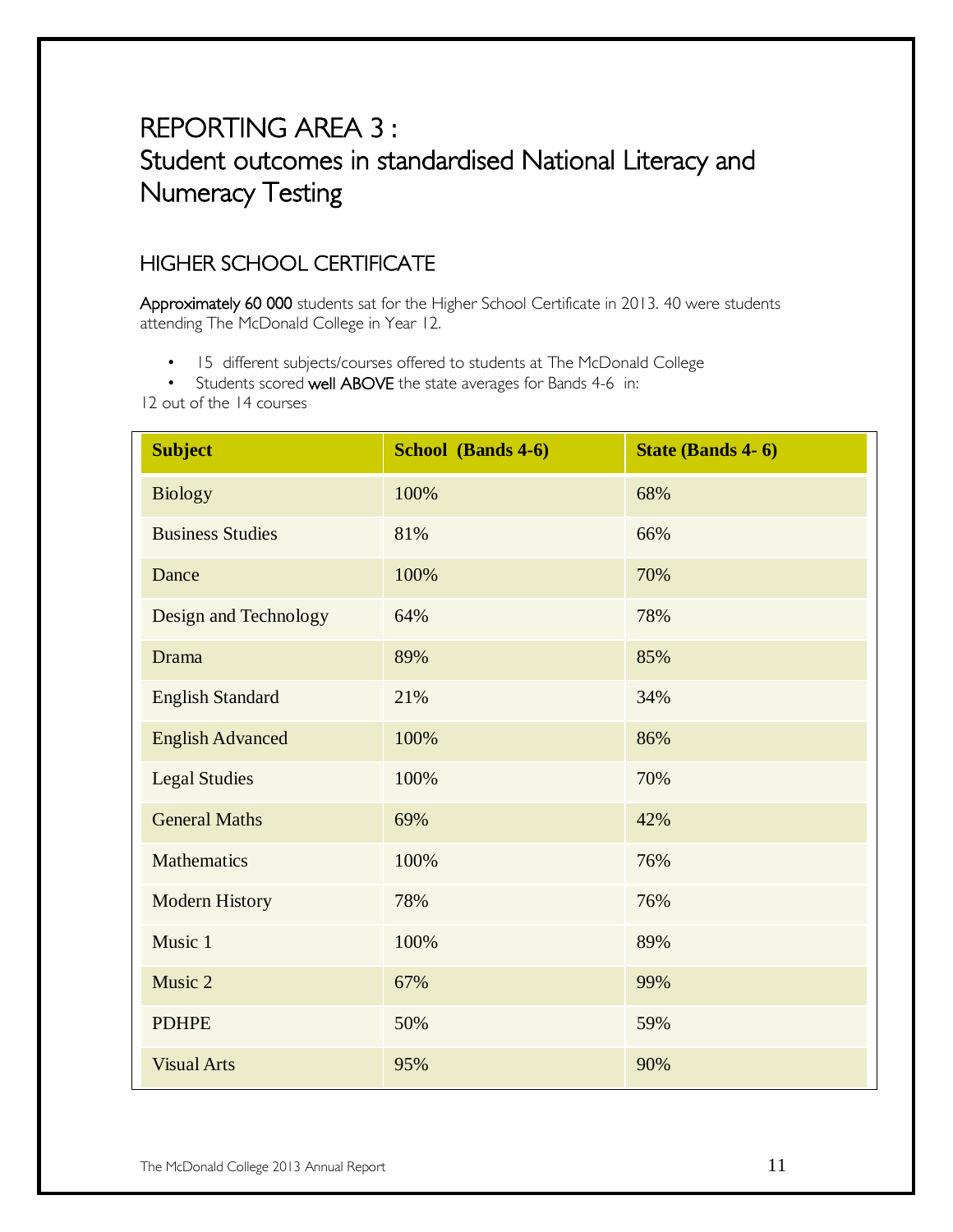# REPORTING AREA 3 : Student outcomes in standardised National Literacy and Numeracy Testing

### HIGHER SCHOOL CERTIFICATE

Approximately 60 000 students sat for the Higher School Certificate in 2013. 40 were students attending The McDonald College in Year 12.

- 15 different subjects/courses offered to students at The McDonald College
- Students scored well ABOVE the state averages for Bands 4-6 in:

12 out of the 14 courses

| <b>Subject</b>          | School (Bands 4-6) | <b>State (Bands 4-6)</b> |
|-------------------------|--------------------|--------------------------|
| <b>Biology</b>          | 100%               | 68%                      |
| <b>Business Studies</b> | 81%                | 66%                      |
| Dance                   | 100%               | 70%                      |
| Design and Technology   | 64%                | 78%                      |
| Drama                   | 89%                | 85%                      |
| <b>English Standard</b> | 21%                | 34%                      |
| <b>English Advanced</b> | 100%               | 86%                      |
| <b>Legal Studies</b>    | 100%               | 70%                      |
| <b>General Maths</b>    | 69%                | 42%                      |
| Mathematics             | 100%               | 76%                      |
| <b>Modern History</b>   | 78%                | 76%                      |
| Music 1                 | 100%               | 89%                      |
| Music 2                 | 67%                | 99%                      |
| <b>PDHPE</b>            | 50%                | 59%                      |
| <b>Visual Arts</b>      | 95%                | 90%                      |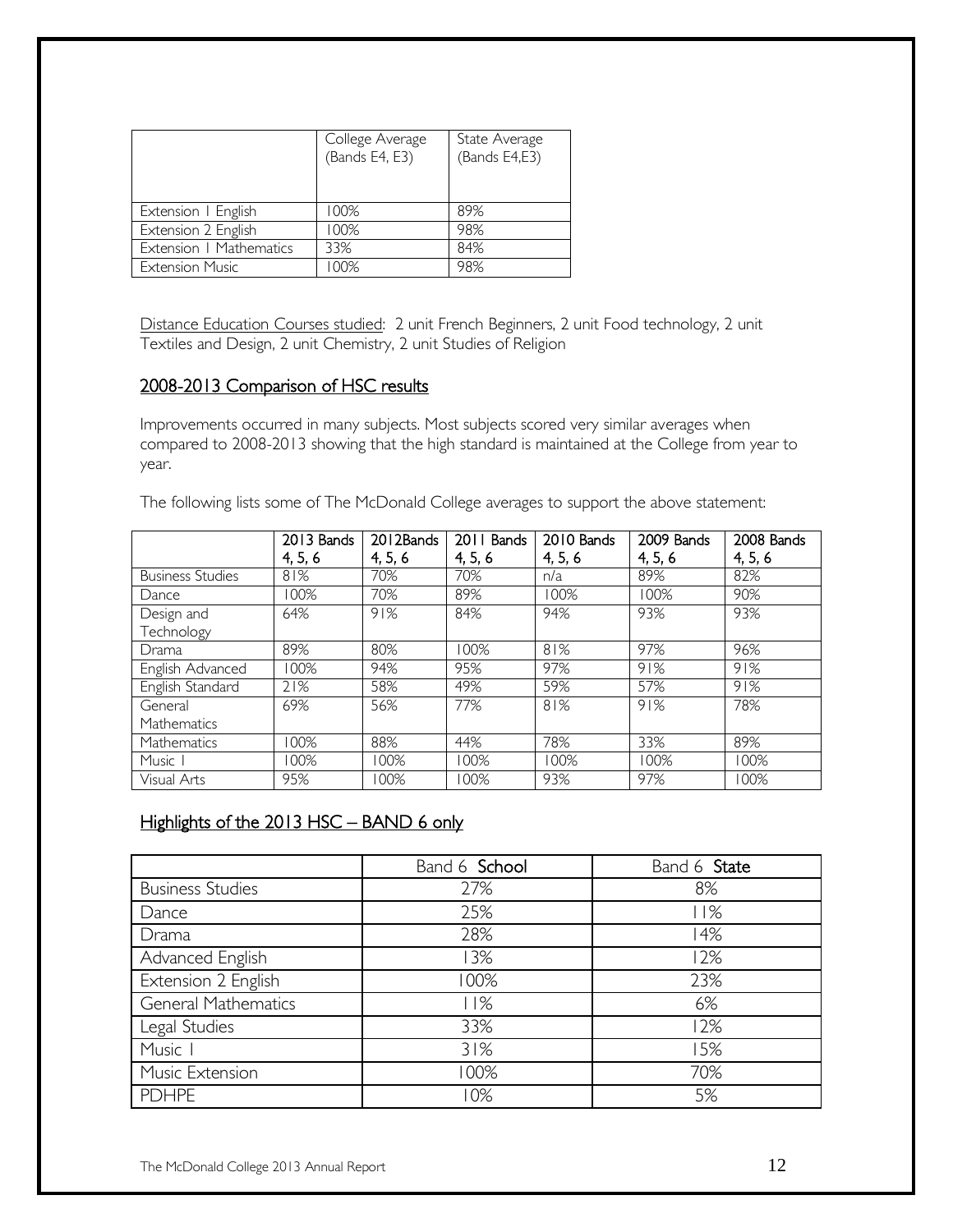|                         | College Average<br>(Bands E4, E3) | State Average<br>(Bands E4,E3) |
|-------------------------|-----------------------------------|--------------------------------|
| Extension   English     | 100%                              | 89%                            |
| Extension 2 English     | 100%                              | 98%                            |
| Extension   Mathematics | 33%                               | 84%                            |
| <b>Extension Music</b>  | 00%                               | 98%                            |

Distance Education Courses studied: 2 unit French Beginners, 2 unit Food technology, 2 unit Textiles and Design, 2 unit Chemistry, 2 unit Studies of Religion

### 2008-2013 Comparison of HSC results

Improvements occurred in many subjects. Most subjects scored very similar averages when compared to 2008-2013 showing that the high standard is maintained at the College from year to year.

The following lists some of The McDonald College averages to support the above statement:

|                         | 2013 Bands<br>4, 5, 6 | 2012Bands<br>4, 5, 6 | 2011 Bands<br>4, 5, 6 | 2010 Bands<br>4, 5, 6 | 2009 Bands<br>4, 5, 6 | 2008 Bands<br>4, 5, 6 |
|-------------------------|-----------------------|----------------------|-----------------------|-----------------------|-----------------------|-----------------------|
|                         |                       |                      |                       |                       |                       |                       |
| <b>Business Studies</b> | 81%                   | 70%                  | 70%                   | n/a                   | 89%                   | 82%                   |
| Dance                   | 100%                  | 70%                  | 89%                   | 100%                  | 100%                  | 90%                   |
| Design and              | 64%                   | 91%                  | 84%                   | 94%                   | 93%                   | 93%                   |
| Technology              |                       |                      |                       |                       |                       |                       |
| Drama                   | 89%                   | 80%                  | 100%                  | 81%                   | 97%                   | 96%                   |
| English Advanced        | 100%                  | 94%                  | 95%                   | 97%                   | 91%                   | 91%                   |
| English Standard        | 21%                   | 58%                  | 49%                   | 59%                   | 57%                   | 91%                   |
| General                 | 69%                   | 56%                  | 77%                   | 81%                   | 91%                   | 78%                   |
| <b>Mathematics</b>      |                       |                      |                       |                       |                       |                       |
| Mathematics             | 100%                  | 88%                  | 44%                   | 78%                   | 33%                   | 89%                   |
| Music I                 | 100%                  | 100%                 | 100%                  | 100%                  | 100%                  | 100%                  |
| Visual Arts             | 95%                   | 100%                 | 100%                  | 93%                   | 97%                   | 100%                  |

### Highlights of the 2013 HSC - BAND 6 only

|                            | Band 6 School | Band 6 State |
|----------------------------|---------------|--------------|
| <b>Business Studies</b>    | 27%           | 8%           |
| Dance                      | 25%           | 11%          |
| Drama                      | 28%           | 14%          |
| Advanced English           | 13%           | 12%          |
| Extension 2 English        | 100%          | 23%          |
| <b>General Mathematics</b> | 11%           | 6%           |
| Legal Studies              | 33%           | 12%          |
| Music                      | 31%           | 15%          |
| Music Extension            | 100%          | 70%          |
| <b>PDHPE</b>               | 10%           | 5%           |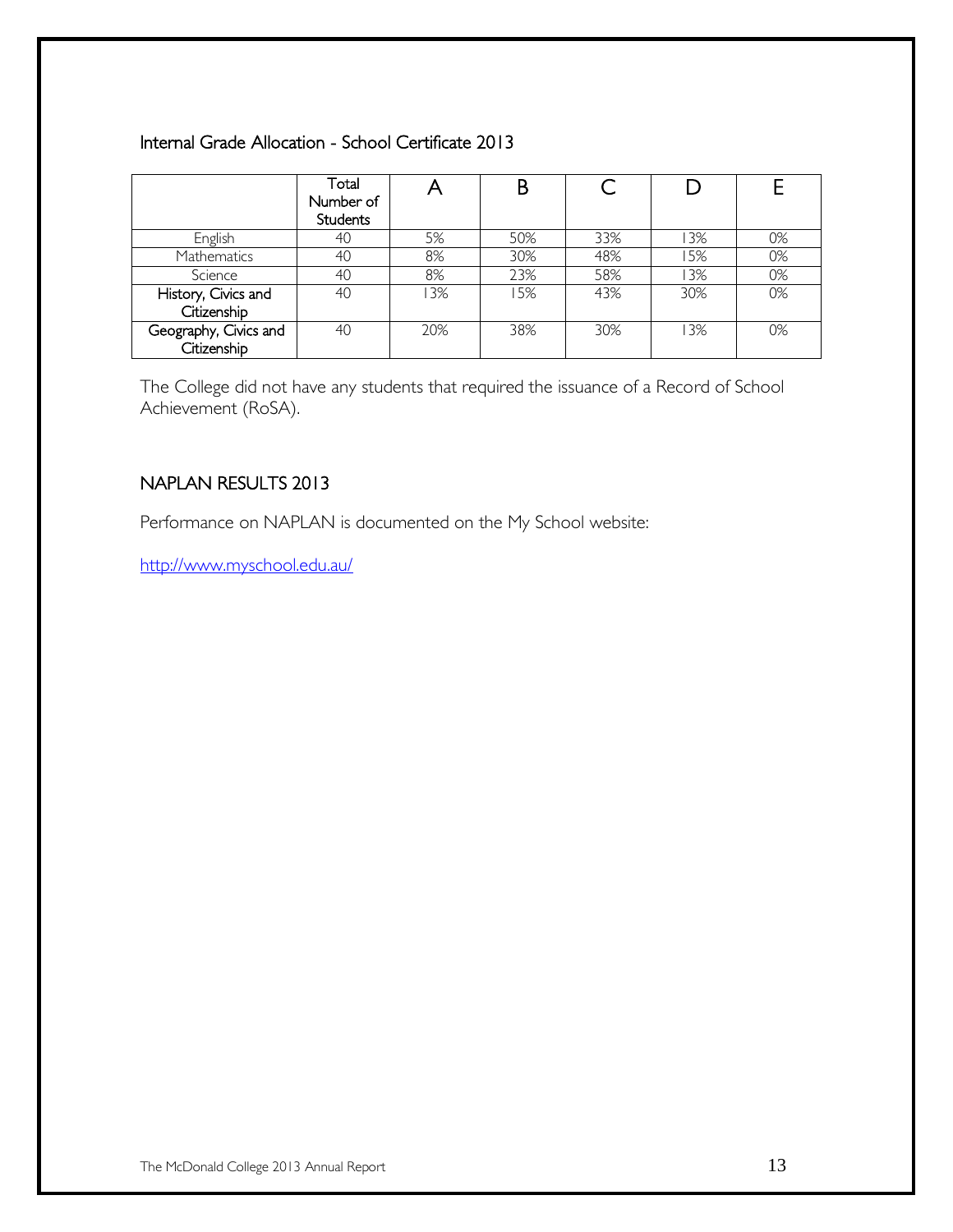### Internal Grade Allocation - School Certificate 2013

|                                      | Total<br>Number of<br><b>Students</b> |     |     |     |     |    |
|--------------------------------------|---------------------------------------|-----|-----|-----|-----|----|
| English                              | 40                                    | 5%  | 50% | 33% | 13% | 0% |
| <b>Mathematics</b>                   | 40                                    | 8%  | 30% | 48% | 5%  | 0% |
| Science                              | 40                                    | 8%  | 23% | 58% | 13% | 0% |
| History, Civics and<br>Citizenship   | 40                                    | 3%  | 15% | 43% | 30% | 0% |
| Geography, Civics and<br>Citizenship | 40                                    | 20% | 38% | 30% | 13% | 0% |

The College did not have any students that required the issuance of a Record of School Achievement (RoSA).

### NAPLAN RESULTS 2013

Performance on NAPLAN is documented on the My School website:

<http://www.myschool.edu.au/>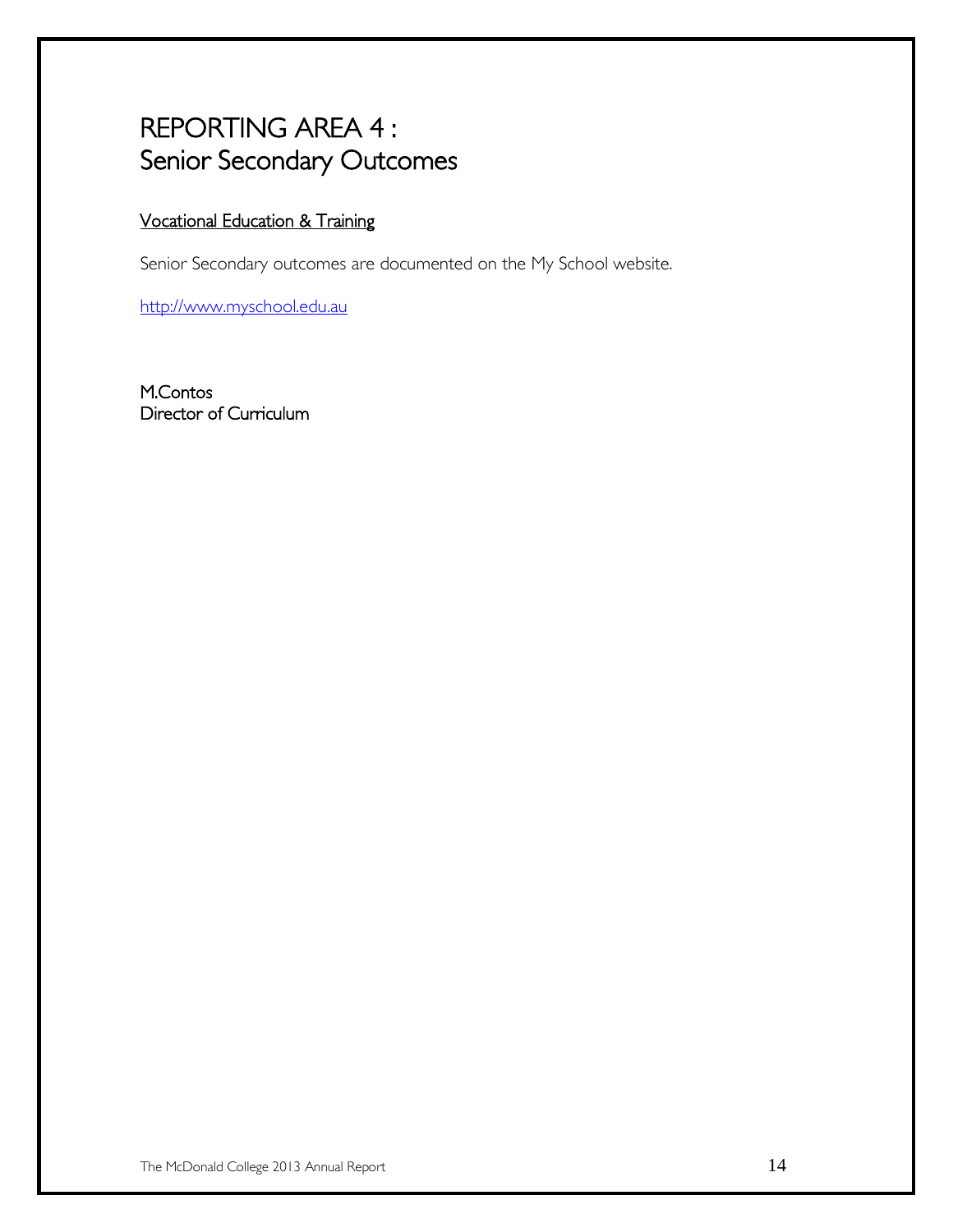# REPORTING AREA 4 : Senior Secondary Outcomes

### Vocational Education & Training

Senior Secondary outcomes are documented on the My School website.

[http://www.myschool.edu.au](http://www.myschool.edu.au/)

M.Contos Director of Curriculum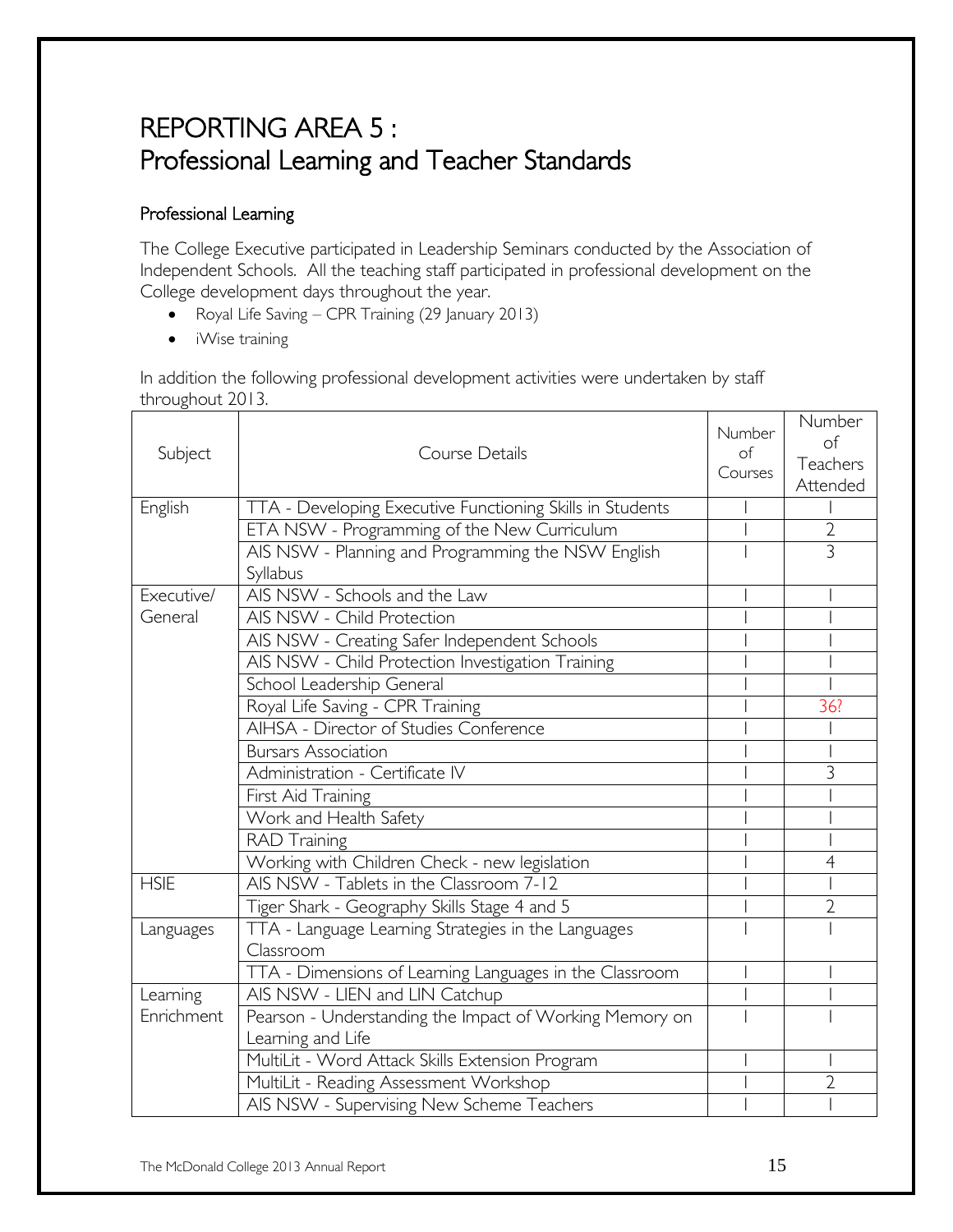# REPORTING AREA 5 : Professional Learning and Teacher Standards

### Professional Learning

The College Executive participated in Leadership Seminars conducted by the Association of Independent Schools. All the teaching staff participated in professional development on the College development days throughout the year.

- Royal Life Saving CPR Training (29 January 2013)
- iWise training

In addition the following professional development activities were undertaken by staff throughout 2013.

| Subject     | Course Details                                            | Number<br>of<br>Courses | Number<br>of<br>Teachers<br>Attended |
|-------------|-----------------------------------------------------------|-------------------------|--------------------------------------|
| English     | TTA - Developing Executive Functioning Skills in Students |                         |                                      |
|             | ETA NSW - Programming of the New Curriculum               |                         | $\overline{2}$                       |
|             | AIS NSW - Planning and Programming the NSW English        |                         | $\overline{3}$                       |
|             | Syllabus                                                  |                         |                                      |
| Executive/  | AIS NSW - Schools and the Law                             |                         |                                      |
| General     | AIS NSW - Child Protection                                |                         |                                      |
|             | AIS NSW - Creating Safer Independent Schools              |                         |                                      |
|             | AIS NSW - Child Protection Investigation Training         |                         |                                      |
|             | School Leadership General                                 |                         |                                      |
|             | Royal Life Saving - CPR Training                          |                         | 36?                                  |
|             | AIHSA - Director of Studies Conference                    |                         |                                      |
|             | <b>Bursars Association</b>                                |                         |                                      |
|             | Administration - Certificate IV                           |                         | 3                                    |
|             | First Aid Training                                        |                         |                                      |
|             | Work and Health Safety                                    |                         |                                      |
|             | <b>RAD Training</b>                                       |                         |                                      |
|             | Working with Children Check - new legislation             |                         | $\overline{4}$                       |
| <b>HSIE</b> | AIS NSW - Tablets in the Classroom 7-12                   |                         |                                      |
|             | Tiger Shark - Geography Skills Stage 4 and 5              |                         | $\overline{2}$                       |
| Languages   | TTA - Language Learning Strategies in the Languages       |                         |                                      |
|             | Classroom                                                 |                         |                                      |
|             | TTA - Dimensions of Learning Languages in the Classroom   |                         |                                      |
| Learning    | AIS NSW - LIEN and LIN Catchup                            |                         |                                      |
| Enrichment  | Pearson - Understanding the Impact of Working Memory on   |                         |                                      |
|             | Learning and Life                                         |                         |                                      |
|             | MultiLit - Word Attack Skills Extension Program           |                         |                                      |
|             | MultiLit - Reading Assessment Workshop                    |                         | $\overline{2}$                       |
|             | AIS NSW - Supervising New Scheme Teachers                 |                         |                                      |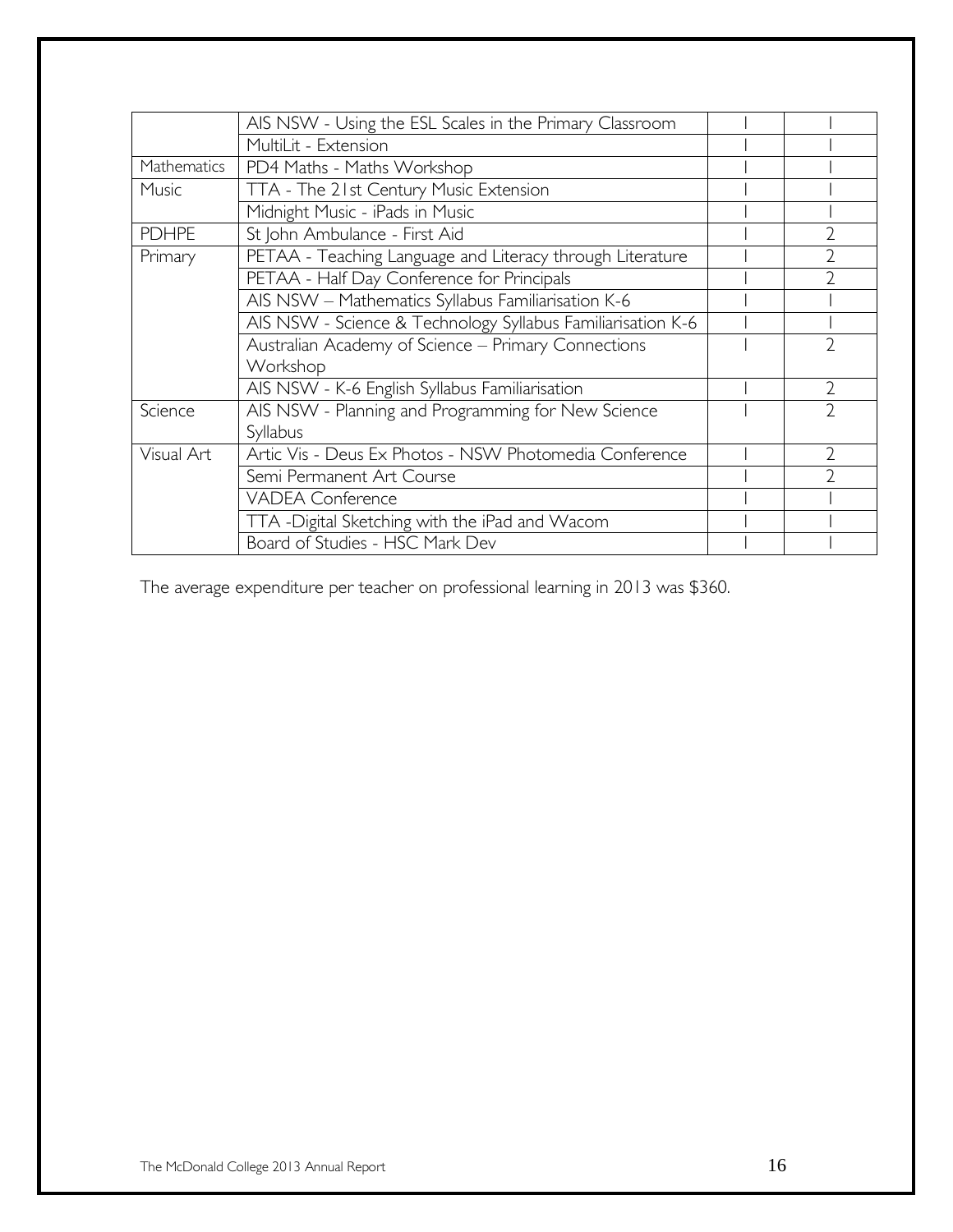|              | AIS NSW - Using the ESL Scales in the Primary Classroom     |                |
|--------------|-------------------------------------------------------------|----------------|
|              | MultiLit - Extension                                        |                |
| Mathematics  | PD4 Maths - Maths Workshop                                  |                |
| Music        | TTA - The 21st Century Music Extension                      |                |
|              | Midnight Music - iPads in Music                             |                |
| <b>PDHPE</b> | St John Ambulance - First Aid                               |                |
| Primary      | PETAA - Teaching Language and Literacy through Literature   |                |
|              | PETAA - Half Day Conference for Principals                  |                |
|              | AIS NSW - Mathematics Syllabus Familiarisation K-6          |                |
|              | AIS NSW - Science & Technology Syllabus Familiarisation K-6 |                |
|              | Australian Academy of Science - Primary Connections         |                |
|              | Workshop                                                    |                |
|              | AIS NSW - K-6 English Syllabus Familiarisation              | $\mathfrak{D}$ |
| Science      | AIS NSW - Planning and Programming for New Science          | $\mathfrak{D}$ |
|              | Syllabus                                                    |                |
| Visual Art   | Artic Vis - Deus Ex Photos - NSW Photomedia Conference      | $\mathcal{D}$  |
|              | Semi Permanent Art Course                                   |                |
|              | <b>VADEA Conference</b>                                     |                |
|              | TTA -Digital Sketching with the iPad and Wacom              |                |
|              | Board of Studies - HSC Mark Dev                             |                |

The average expenditure per teacher on professional learning in 2013 was \$360.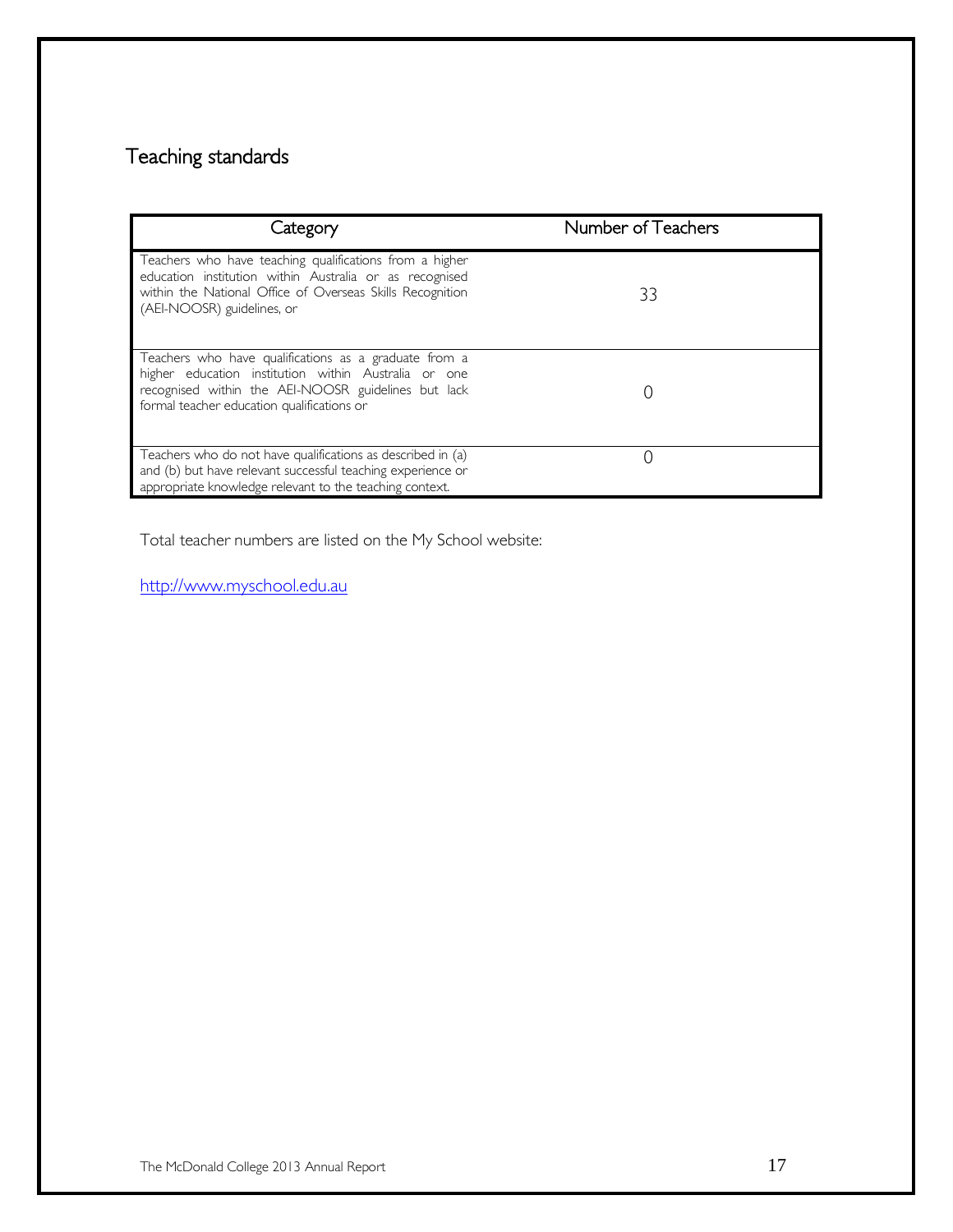# Teaching standards

| Category                                                                                                                                                                                                           | Number of Teachers |
|--------------------------------------------------------------------------------------------------------------------------------------------------------------------------------------------------------------------|--------------------|
| Teachers who have teaching qualifications from a higher<br>education institution within Australia or as recognised<br>within the National Office of Overseas Skills Recognition<br>(AEI-NOOSR) guidelines, or      | 33                 |
| Teachers who have qualifications as a graduate from a<br>higher education institution within Australia or one<br>recognised within the AEI-NOOSR guidelines but lack<br>formal teacher education qualifications or |                    |
| Teachers who do not have qualifications as described in (a)<br>and (b) but have relevant successful teaching experience or<br>appropriate knowledge relevant to the teaching context.                              |                    |

Total teacher numbers are listed on the My School website:

[http://www.myschool.edu.au](http://www.myschool.edu.au/)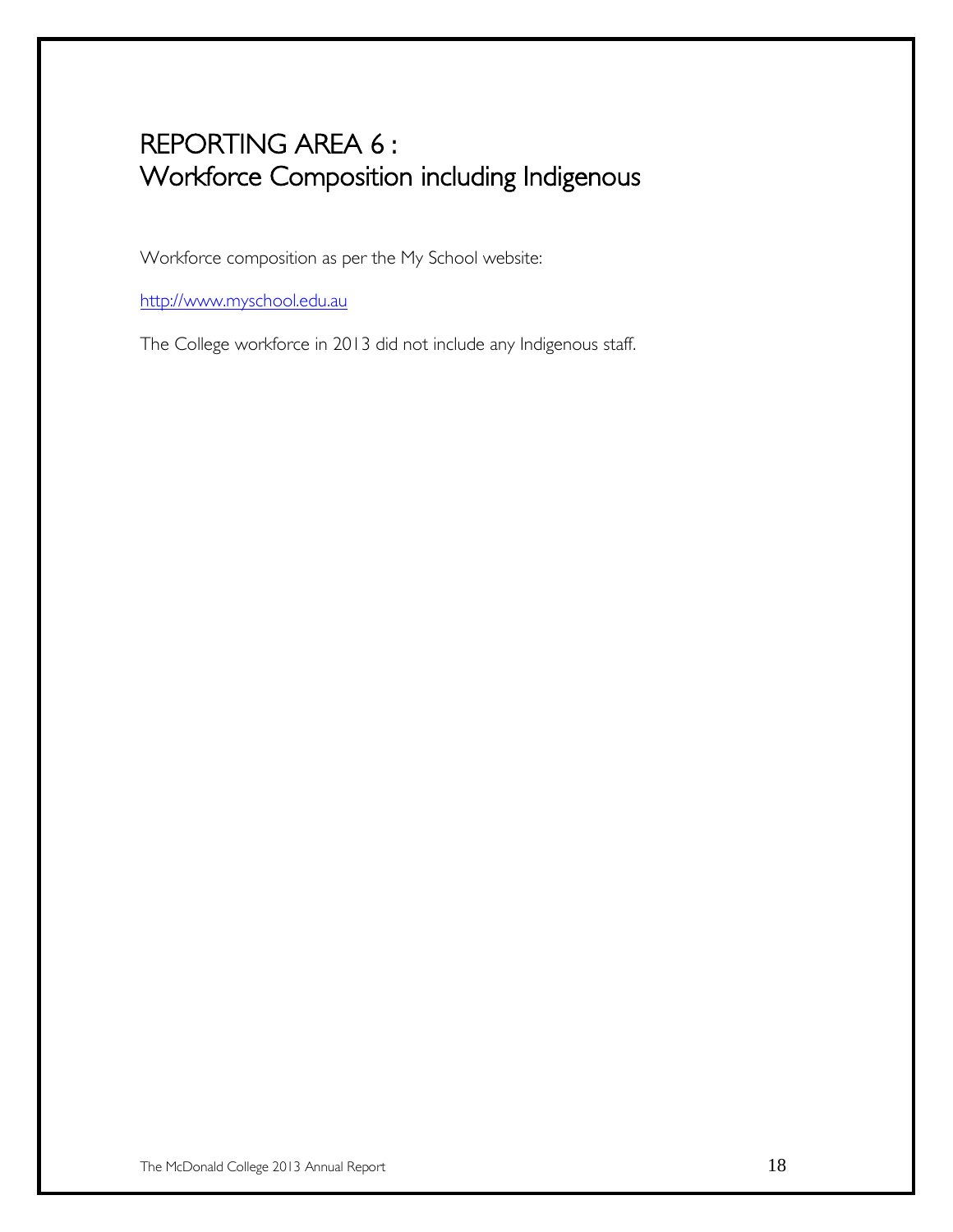# REPORTING AREA 6 : Workforce Composition including Indigenous

Workforce composition as per the My School website:

[http://www.myschool.edu.au](http://www.myschool.edu.au/)

The College workforce in 2013 did not include any Indigenous staff.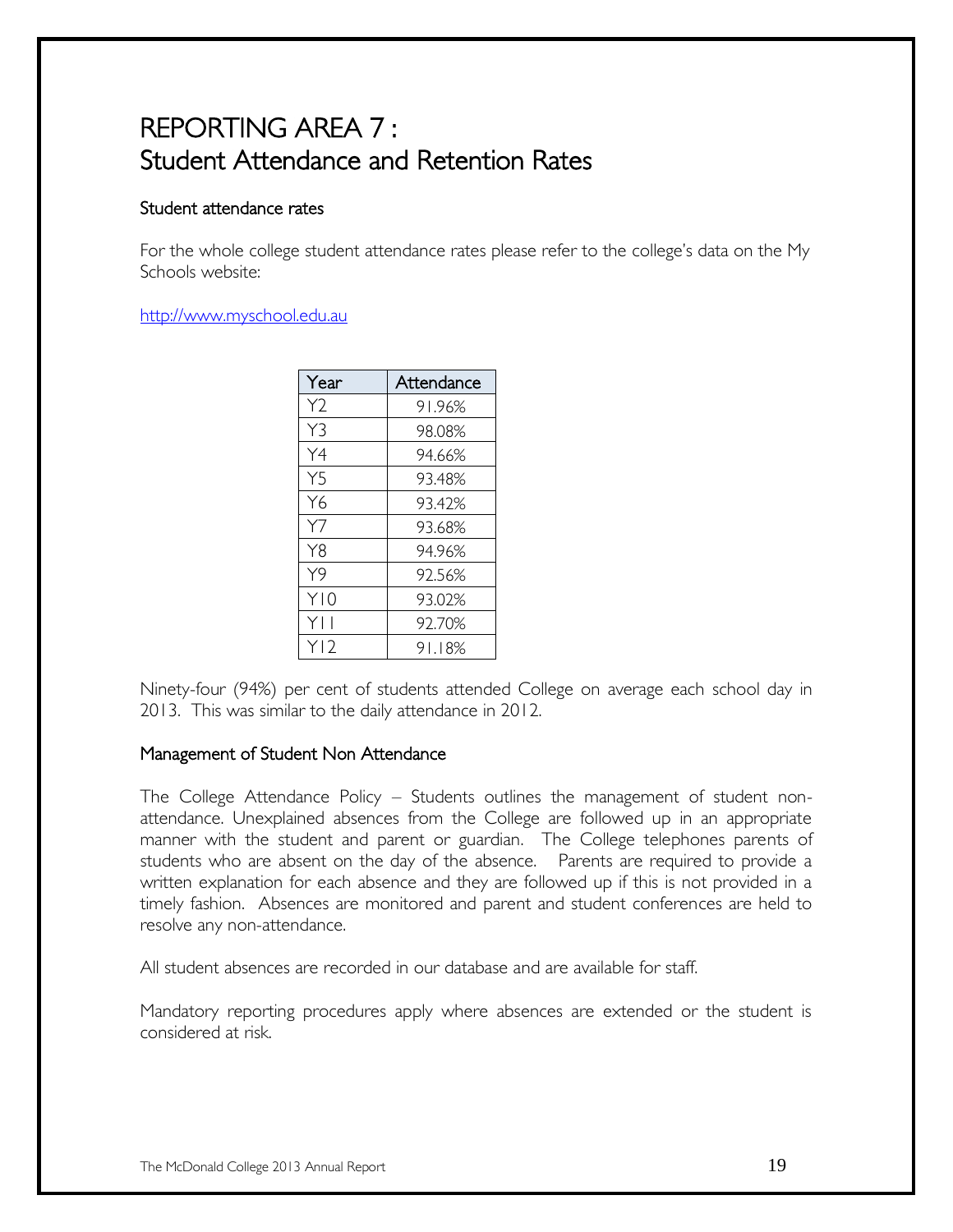# REPORTING AREA 7 : Student Attendance and Retention Rates

### Student attendance rates

For the whole college student attendance rates please refer to the college's data on the My Schools website:

#### [http://www.myschool.edu.au](http://www.myschool.edu.au/)

| Year            | Attendance |  |
|-----------------|------------|--|
| Y2              | 91.96%     |  |
| Y3              | 98.08%     |  |
| Y4              | 94.66%     |  |
| Y5              | 93.48%     |  |
| Y6              | 93.42%     |  |
| Y7              | 93.68%     |  |
| Y8              | 94.96%     |  |
| Y9              | 92.56%     |  |
| Y10             | 93.02%     |  |
| YII             | 92.70%     |  |
| Y <sub>12</sub> | 91.18%     |  |

Ninety-four (94%) per cent of students attended College on average each school day in 2013. This was similar to the daily attendance in 2012.

### Management of Student Non Attendance

The College Attendance Policy – Students outlines the management of student nonattendance. Unexplained absences from the College are followed up in an appropriate manner with the student and parent or guardian. The College telephones parents of students who are absent on the day of the absence. Parents are required to provide a written explanation for each absence and they are followed up if this is not provided in a timely fashion. Absences are monitored and parent and student conferences are held to resolve any non-attendance.

All student absences are recorded in our database and are available for staff.

Mandatory reporting procedures apply where absences are extended or the student is considered at risk.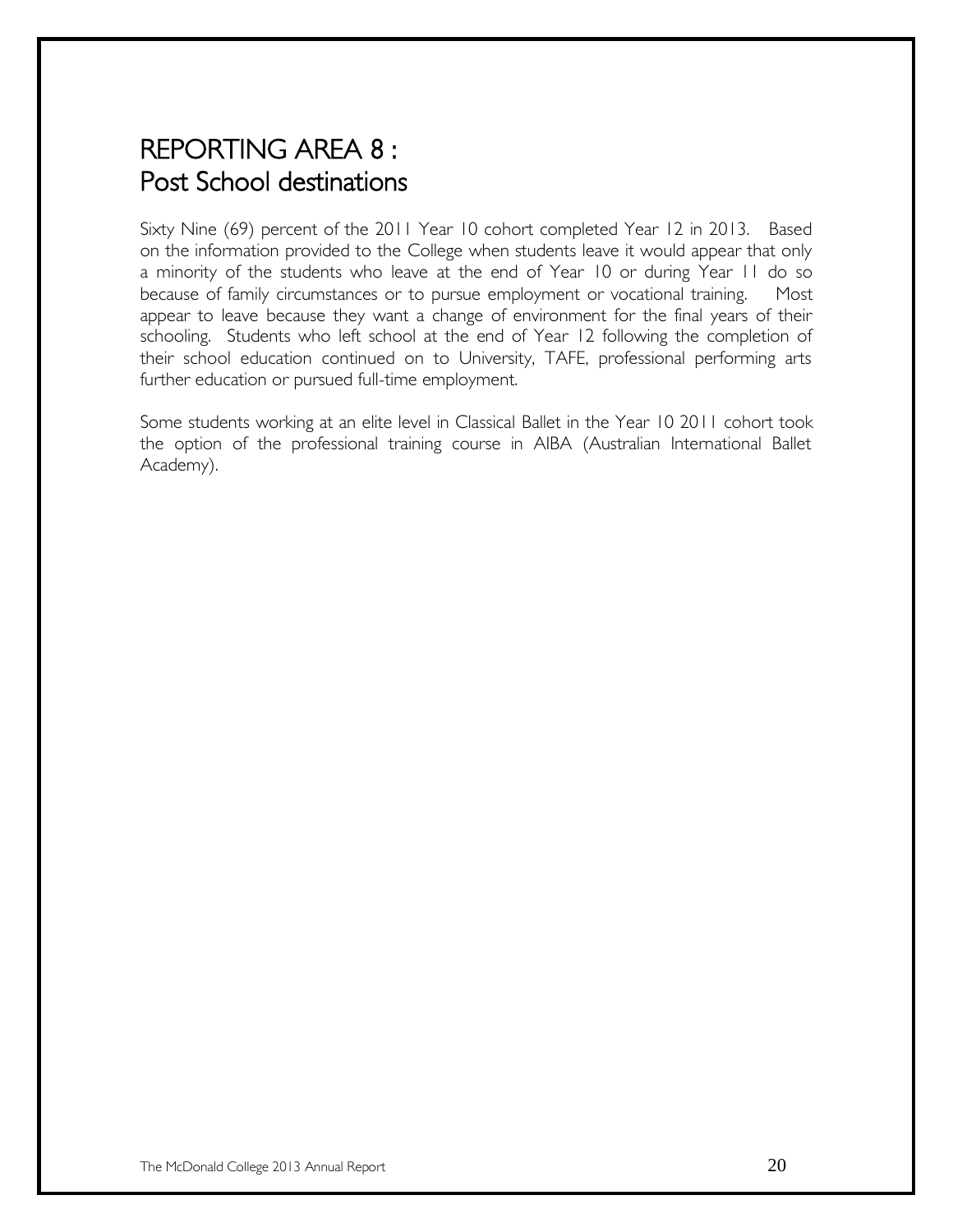# REPORTING AREA 8 : Post School destinations

Sixty Nine (69) percent of the 2011 Year 10 cohort completed Year 12 in 2013. Based on the information provided to the College when students leave it would appear that only a minority of the students who leave at the end of Year 10 or during Year 11 do so because of family circumstances or to pursue employment or vocational training. Most appear to leave because they want a change of environment for the final years of their schooling. Students who left school at the end of Year 12 following the completion of their school education continued on to University, TAFE, professional performing arts further education or pursued full-time employment.

Some students working at an elite level in Classical Ballet in the Year 10 2011 cohort took the option of the professional training course in AIBA (Australian International Ballet Academy).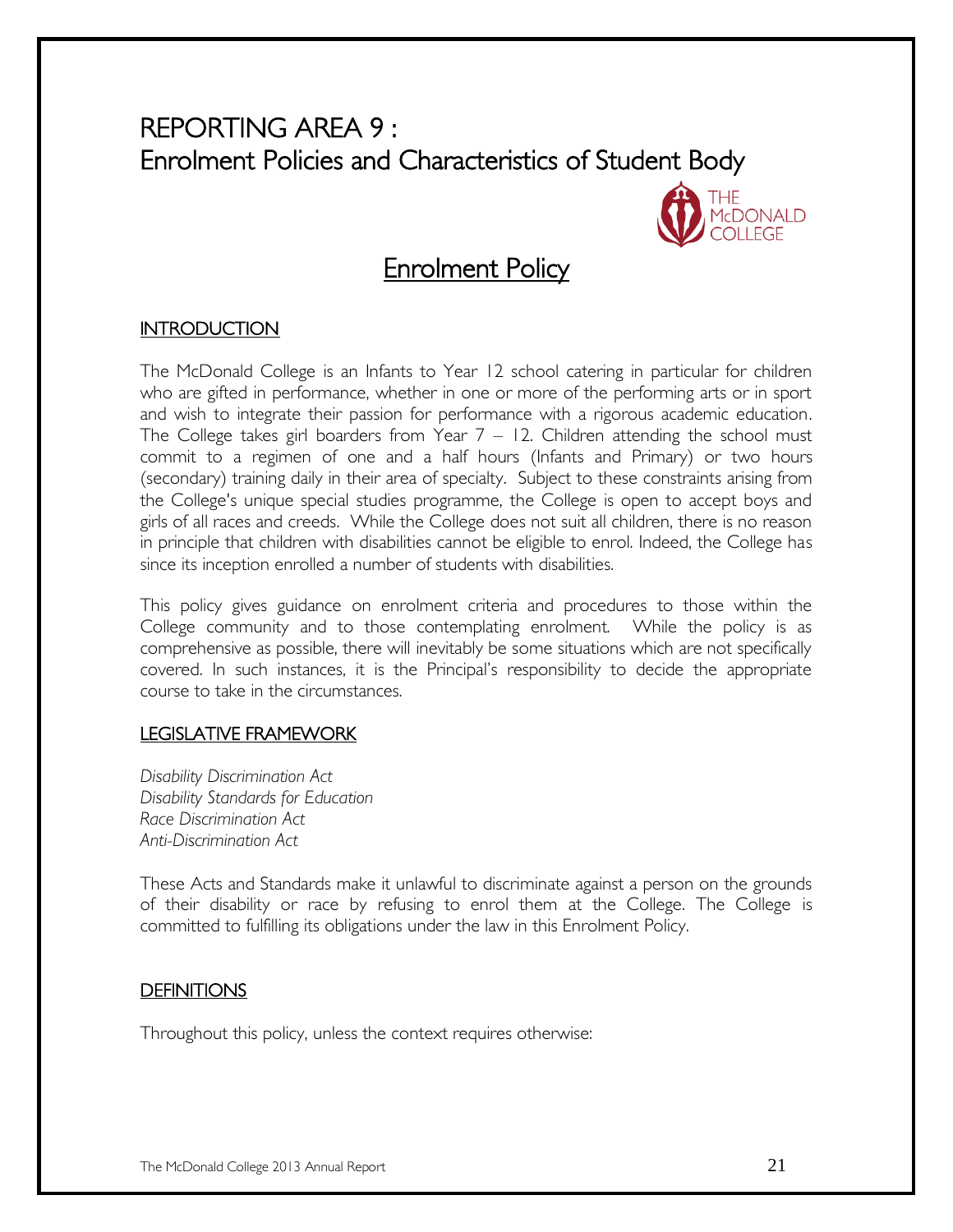# REPORTING AREA 9 : Enrolment Policies and Characteristics of Student Body



### **Enrolment Policy**

### **INTRODUCTION**

The McDonald College is an Infants to Year 12 school catering in particular for children who are gifted in performance, whether in one or more of the performing arts or in sport and wish to integrate their passion for performance with a rigorous academic education. The College takes girl boarders from Year  $7 - 12$ . Children attending the school must commit to a regimen of one and a half hours (Infants and Primary) or two hours (secondary) training daily in their area of specialty. Subject to these constraints arising from the College's unique special studies programme, the College is open to accept boys and girls of all races and creeds. While the College does not suit all children, there is no reason in principle that children with disabilities cannot be eligible to enrol. Indeed, the College has since its inception enrolled a number of students with disabilities.

This policy gives guidance on enrolment criteria and procedures to those within the College community and to those contemplating enrolment. While the policy is as comprehensive as possible, there will inevitably be some situations which are not specifically covered. In such instances, it is the Principal's responsibility to decide the appropriate course to take in the circumstances.

### LEGISLATIVE FRAMEWORK

*Disability Discrimination Act Disability Standards for Education Race Discrimination Act Anti-Discrimination Act*

These Acts and Standards make it unlawful to discriminate against a person on the grounds of their disability or race by refusing to enrol them at the College. The College is committed to fulfilling its obligations under the law in this Enrolment Policy.

### **DEFINITIONS**

Throughout this policy, unless the context requires otherwise: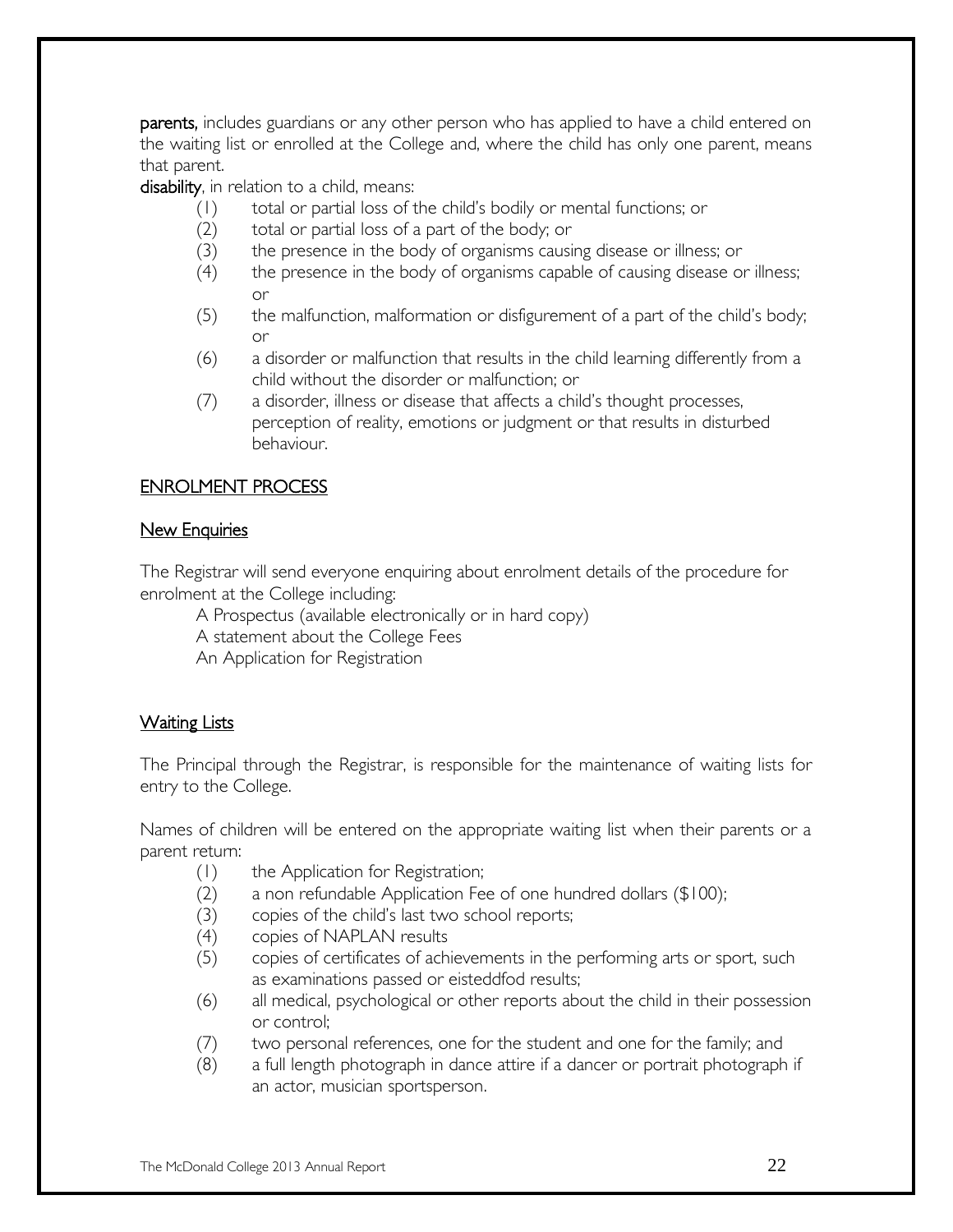parents, includes guardians or any other person who has applied to have a child entered on the waiting list or enrolled at the College and, where the child has only one parent, means that parent.

disability, in relation to a child, means:

- (1) total or partial loss of the child's bodily or mental functions; or
- (2) total or partial loss of a part of the body; or
- (3) the presence in the body of organisms causing disease or illness; or
- (4) the presence in the body of organisms capable of causing disease or illness; or
- (5) the malfunction, malformation or disfigurement of a part of the child's body; or
- (6) a disorder or malfunction that results in the child learning differently from a child without the disorder or malfunction; or
- (7) a disorder, illness or disease that affects a child's thought processes, perception of reality, emotions or judgment or that results in disturbed behaviour.

### ENROLMENT PROCESS

### **New Enquiries**

The Registrar will send everyone enquiring about enrolment details of the procedure for enrolment at the College including:

A Prospectus (available electronically or in hard copy)

A statement about the College Fees

An Application for Registration

### Waiting Lists

The Principal through the Registrar, is responsible for the maintenance of waiting lists for entry to the College.

Names of children will be entered on the appropriate waiting list when their parents or a parent return:

- (1) the Application for Registration;
- (2) a non refundable Application Fee of one hundred dollars (\$100);
- (3) copies of the child's last two school reports;
- (4) copies of NAPLAN results
- (5) copies of certificates of achievements in the performing arts or sport, such as examinations passed or eisteddfod results;
- (6) all medical, psychological or other reports about the child in their possession or control;
- (7) two personal references, one for the student and one for the family; and
- (8) a full length photograph in dance attire if a dancer or portrait photograph if an actor, musician sportsperson.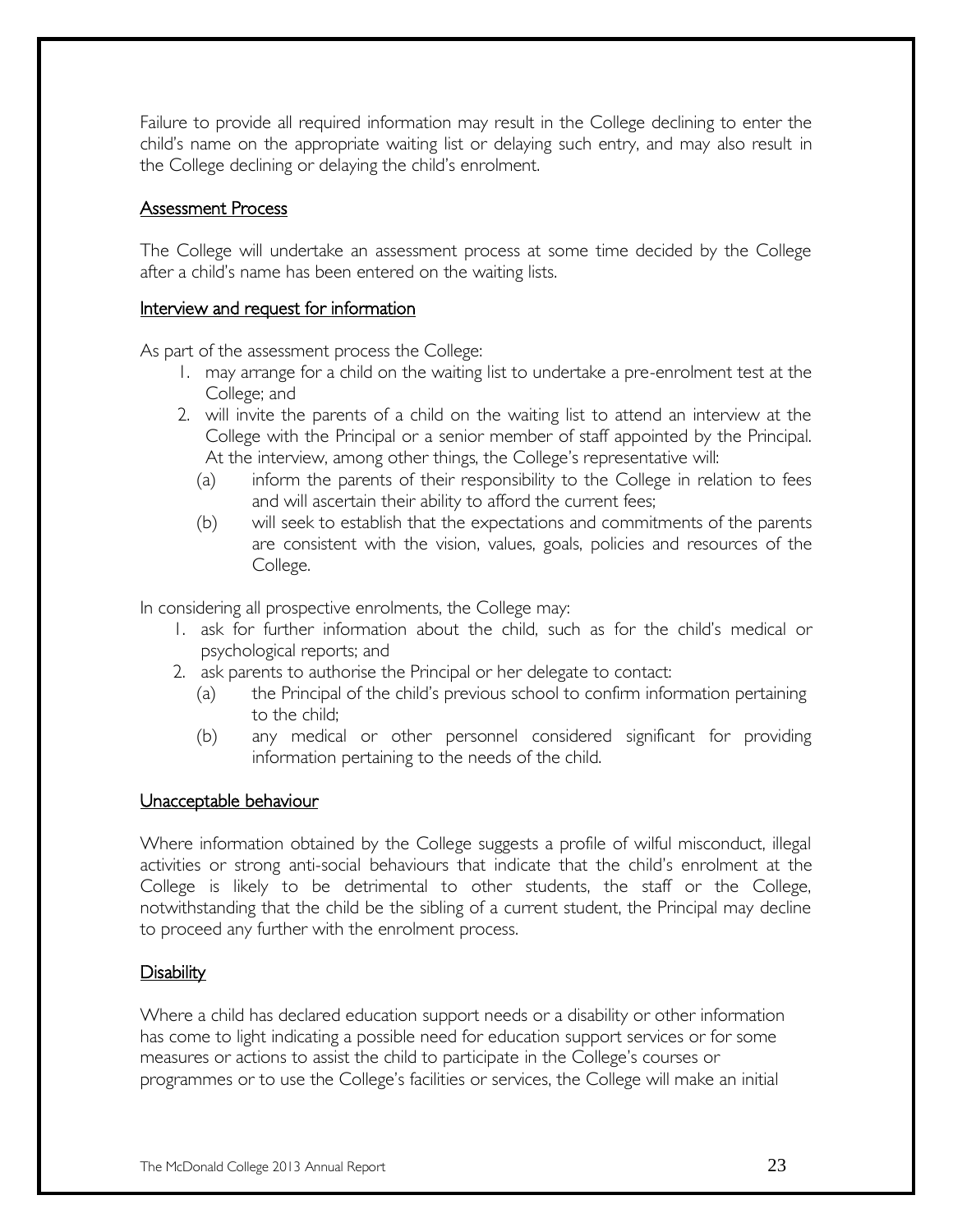Failure to provide all required information may result in the College declining to enter the child's name on the appropriate waiting list or delaying such entry, and may also result in the College declining or delaying the child's enrolment.

### Assessment Process

The College will undertake an assessment process at some time decided by the College after a child's name has been entered on the waiting lists.

### Interview and request for information

As part of the assessment process the College:

- 1. may arrange for a child on the waiting list to undertake a pre-enrolment test at the College; and
- 2. will invite the parents of a child on the waiting list to attend an interview at the College with the Principal or a senior member of staff appointed by the Principal. At the interview, among other things, the College's representative will:
	- (a) inform the parents of their responsibility to the College in relation to fees and will ascertain their ability to afford the current fees;
	- (b) will seek to establish that the expectations and commitments of the parents are consistent with the vision, values, goals, policies and resources of the College.

In considering all prospective enrolments, the College may:

- 1. ask for further information about the child, such as for the child's medical or psychological reports; and
- 2. ask parents to authorise the Principal or her delegate to contact:
	- (a) the Principal of the child's previous school to confirm information pertaining to the child;
	- (b) any medical or other personnel considered significant for providing information pertaining to the needs of the child.

### Unacceptable behaviour

Where information obtained by the College suggests a profile of wilful misconduct, illegal activities or strong anti-social behaviours that indicate that the child's enrolment at the College is likely to be detrimental to other students, the staff or the College, notwithstanding that the child be the sibling of a current student, the Principal may decline to proceed any further with the enrolment process.

### Disability

Where a child has declared education support needs or a disability or other information has come to light indicating a possible need for education support services or for some measures or actions to assist the child to participate in the College's courses or programmes or to use the College's facilities or services, the College will make an initial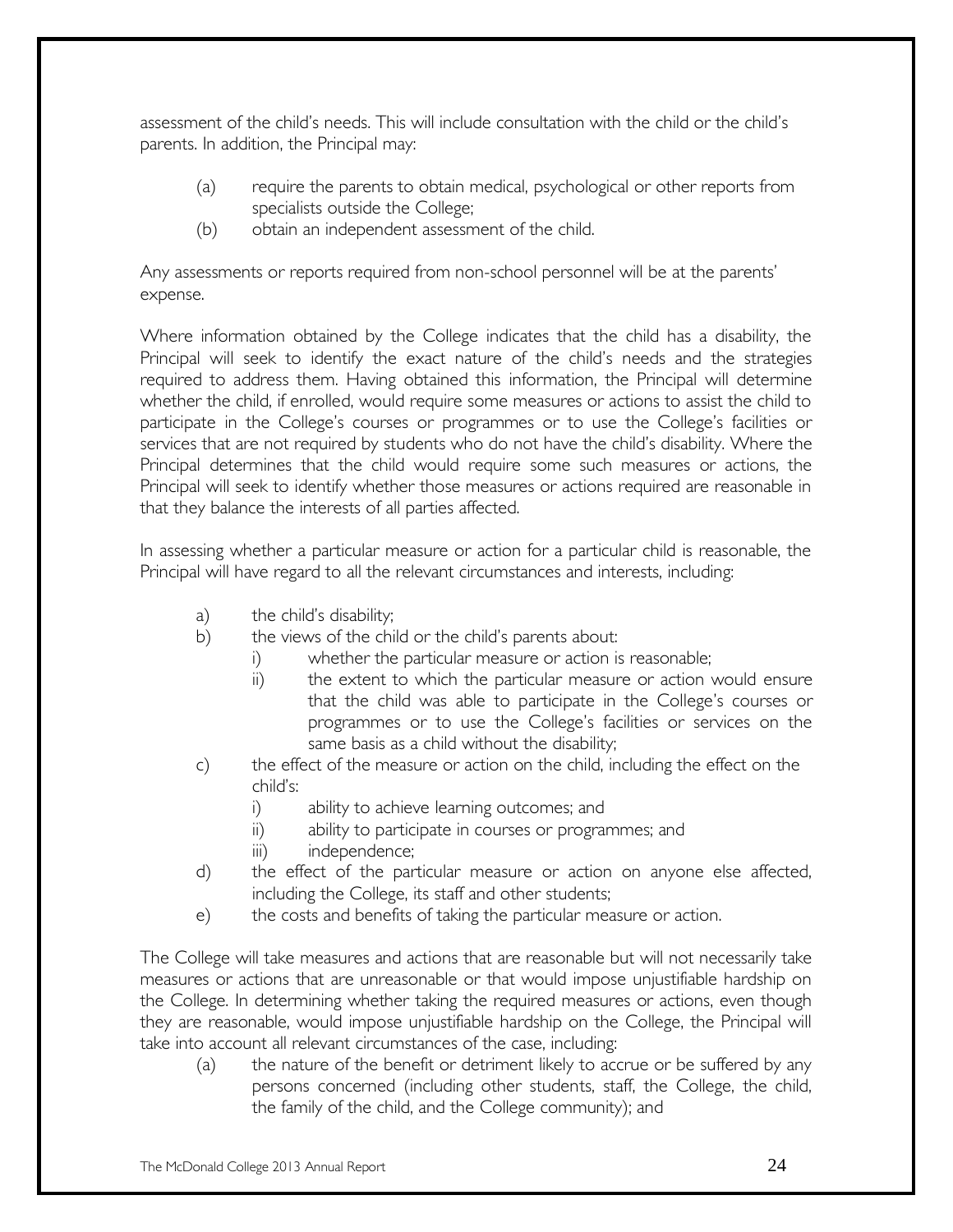assessment of the child's needs. This will include consultation with the child or the child's parents. In addition, the Principal may:

- (a) require the parents to obtain medical, psychological or other reports from specialists outside the College;
- (b) obtain an independent assessment of the child.

Any assessments or reports required from non-school personnel will be at the parents' expense.

Where information obtained by the College indicates that the child has a disability, the Principal will seek to identify the exact nature of the child's needs and the strategies required to address them. Having obtained this information, the Principal will determine whether the child, if enrolled, would require some measures or actions to assist the child to participate in the College's courses or programmes or to use the College's facilities or services that are not required by students who do not have the child's disability. Where the Principal determines that the child would require some such measures or actions, the Principal will seek to identify whether those measures or actions required are reasonable in that they balance the interests of all parties affected.

In assessing whether a particular measure or action for a particular child is reasonable, the Principal will have regard to all the relevant circumstances and interests, including:

- a) the child's disability;
- b) the views of the child or the child's parents about:
	- i) whether the particular measure or action is reasonable;
	- ii) the extent to which the particular measure or action would ensure that the child was able to participate in the College's courses or programmes or to use the College's facilities or services on the same basis as a child without the disability;
- c) the effect of the measure or action on the child, including the effect on the child's:
	- i) ability to achieve learning outcomes; and
	- ii) ability to participate in courses or programmes; and
	- iii) independence;
- d) the effect of the particular measure or action on anyone else affected, including the College, its staff and other students;
- e) the costs and benefits of taking the particular measure or action.

The College will take measures and actions that are reasonable but will not necessarily take measures or actions that are unreasonable or that would impose unjustifiable hardship on the College. In determining whether taking the required measures or actions, even though they are reasonable, would impose unjustifiable hardship on the College, the Principal will take into account all relevant circumstances of the case, including:

(a) the nature of the benefit or detriment likely to accrue or be suffered by any persons concerned (including other students, staff, the College, the child, the family of the child, and the College community); and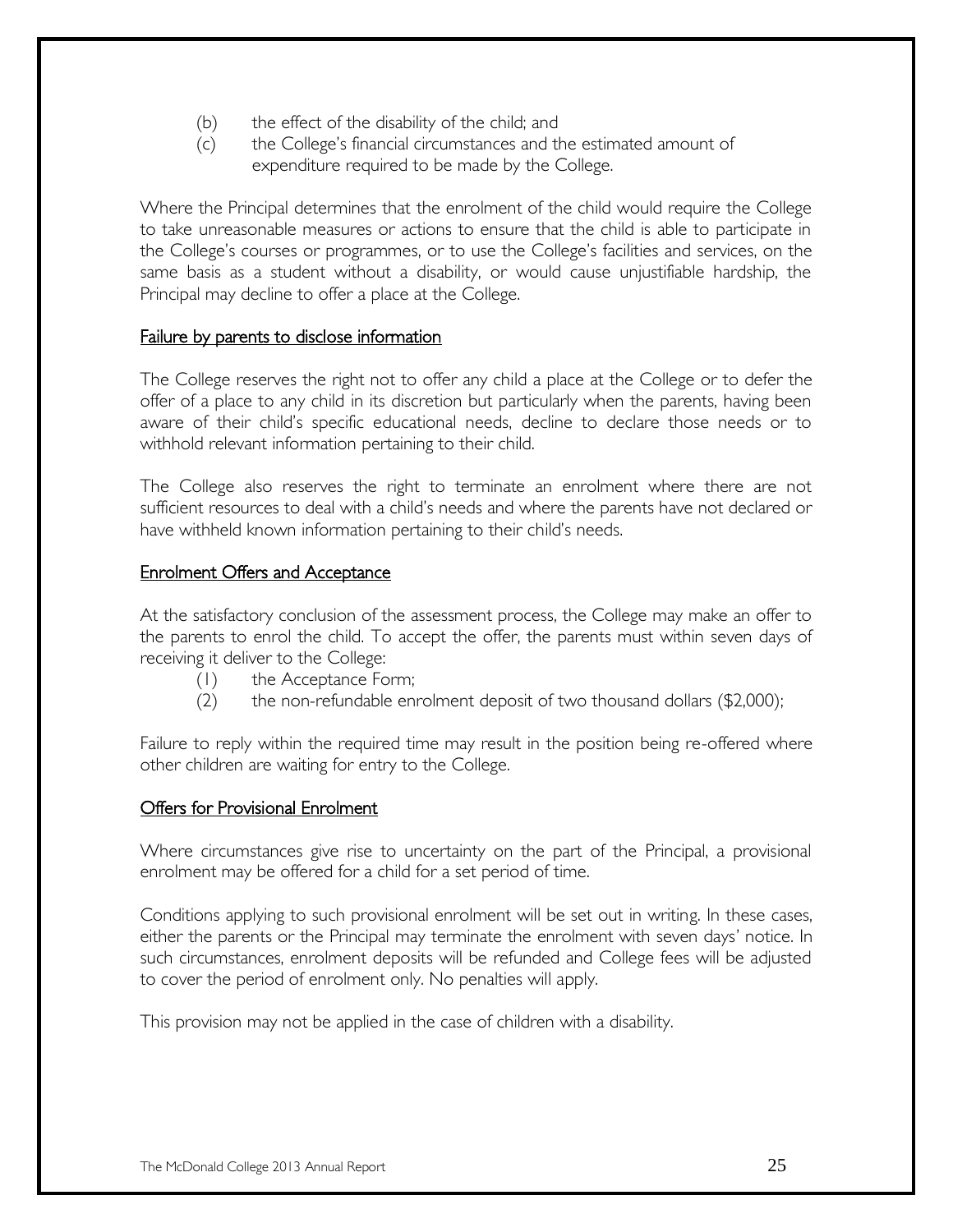- (b) the effect of the disability of the child; and
- (c) the College's financial circumstances and the estimated amount of expenditure required to be made by the College.

Where the Principal determines that the enrolment of the child would require the College to take unreasonable measures or actions to ensure that the child is able to participate in the College's courses or programmes, or to use the College's facilities and services, on the same basis as a student without a disability, or would cause unjustifiable hardship, the Principal may decline to offer a place at the College.

### Failure by parents to disclose information

The College reserves the right not to offer any child a place at the College or to defer the offer of a place to any child in its discretion but particularly when the parents, having been aware of their child's specific educational needs, decline to declare those needs or to withhold relevant information pertaining to their child.

The College also reserves the right to terminate an enrolment where there are not sufficient resources to deal with a child's needs and where the parents have not declared or have withheld known information pertaining to their child's needs.

#### **Enrolment Offers and Acceptance**

At the satisfactory conclusion of the assessment process, the College may make an offer to the parents to enrol the child. To accept the offer, the parents must within seven days of receiving it deliver to the College:

- (1) the Acceptance Form;
- (2) the non-refundable enrolment deposit of two thousand dollars (\$2,000);

Failure to reply within the required time may result in the position being re-offered where other children are waiting for entry to the College.

### Offers for Provisional Enrolment

Where circumstances give rise to uncertainty on the part of the Principal, a provisional enrolment may be offered for a child for a set period of time.

Conditions applying to such provisional enrolment will be set out in writing. In these cases, either the parents or the Principal may terminate the enrolment with seven days' notice. In such circumstances, enrolment deposits will be refunded and College fees will be adjusted to cover the period of enrolment only. No penalties will apply.

This provision may not be applied in the case of children with a disability.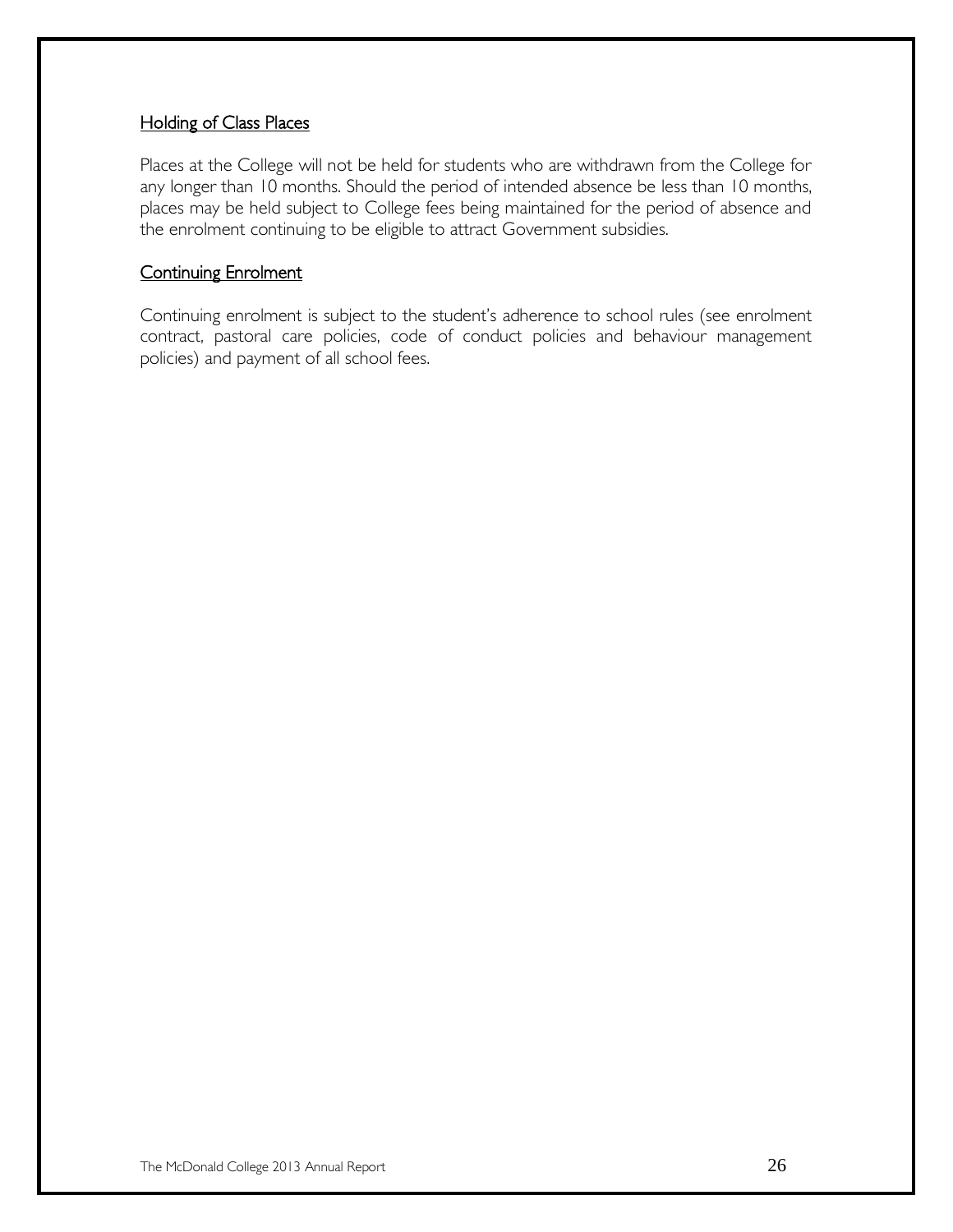### Holding of Class Places

Places at the College will not be held for students who are withdrawn from the College for any longer than 10 months. Should the period of intended absence be less than 10 months, places may be held subject to College fees being maintained for the period of absence and the enrolment continuing to be eligible to attract Government subsidies.

### Continuing Enrolment

Continuing enrolment is subject to the student's adherence to school rules (see enrolment contract, pastoral care policies, code of conduct policies and behaviour management policies) and payment of all school fees.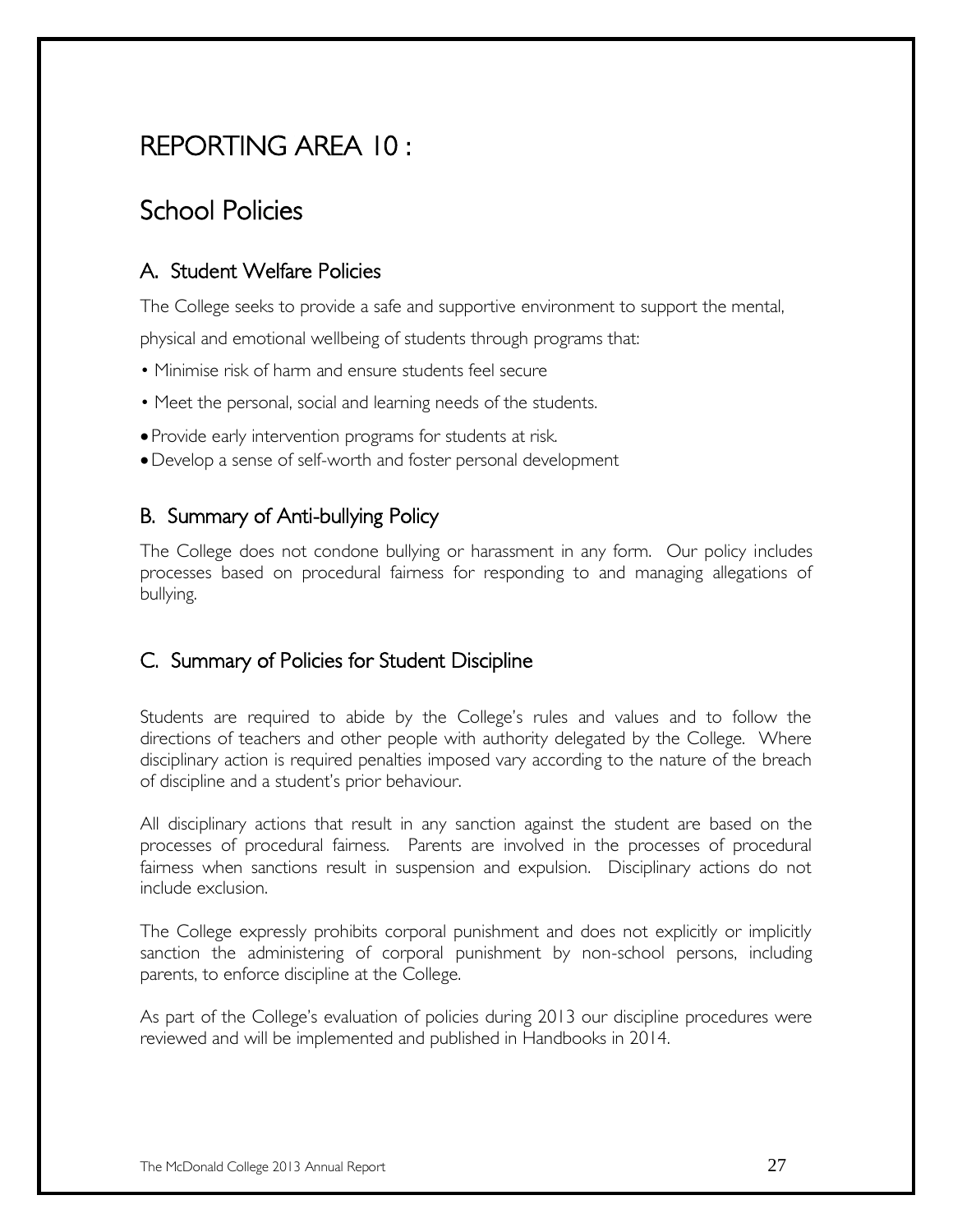# REPORTING AREA 10 :

# School Policies

### A. Student Welfare Policies

The College seeks to provide a safe and supportive environment to support the mental,

physical and emotional wellbeing of students through programs that:

- Minimise risk of harm and ensure students feel secure
- Meet the personal, social and learning needs of the students.
- Provide early intervention programs for students at risk.
- Develop a sense of self-worth and foster personal development

### B. Summary of Anti-bullying Policy

The College does not condone bullying or harassment in any form. Our policy includes processes based on procedural fairness for responding to and managing allegations of bullying.

### C. Summary of Policies for Student Discipline

Students are required to abide by the College's rules and values and to follow the directions of teachers and other people with authority delegated by the College. Where disciplinary action is required penalties imposed vary according to the nature of the breach of discipline and a student's prior behaviour.

All disciplinary actions that result in any sanction against the student are based on the processes of procedural fairness. Parents are involved in the processes of procedural fairness when sanctions result in suspension and expulsion. Disciplinary actions do not include exclusion.

The College expressly prohibits corporal punishment and does not explicitly or implicitly sanction the administering of corporal punishment by non-school persons, including parents, to enforce discipline at the College.

As part of the College's evaluation of policies during 2013 our discipline procedures were reviewed and will be implemented and published in Handbooks in 2014.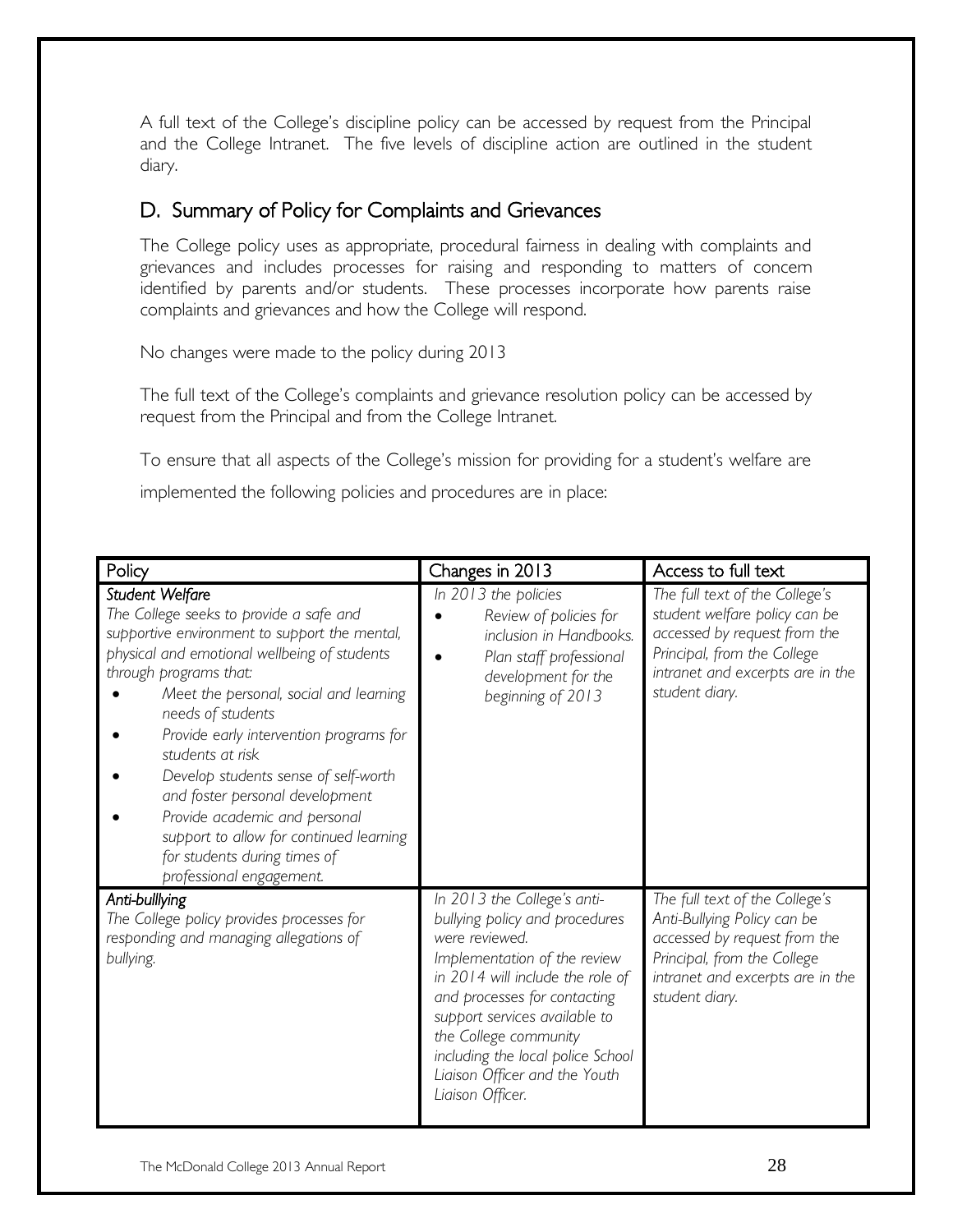A full text of the College's discipline policy can be accessed by request from the Principal and the College Intranet. The five levels of discipline action are outlined in the student diary.

### D. Summary of Policy for Complaints and Grievances

The College policy uses as appropriate, procedural fairness in dealing with complaints and grievances and includes processes for raising and responding to matters of concern identified by parents and/or students. These processes incorporate how parents raise complaints and grievances and how the College will respond.

No changes were made to the policy during 2013

The full text of the College's complaints and grievance resolution policy can be accessed by request from the Principal and from the College Intranet.

To ensure that all aspects of the College's mission for providing for a student's welfare are implemented the following policies and procedures are in place:

| Policy                                                                                                                                                                                                                                                                                                                                                                                                                                                                                                                                 | Changes in 2013                                                                                                                                                                                                                                                                                                                         | Access to full text                                                                                                                                                                  |
|----------------------------------------------------------------------------------------------------------------------------------------------------------------------------------------------------------------------------------------------------------------------------------------------------------------------------------------------------------------------------------------------------------------------------------------------------------------------------------------------------------------------------------------|-----------------------------------------------------------------------------------------------------------------------------------------------------------------------------------------------------------------------------------------------------------------------------------------------------------------------------------------|--------------------------------------------------------------------------------------------------------------------------------------------------------------------------------------|
| Student Welfare<br>The College seeks to provide a safe and<br>supportive environment to support the mental,<br>physical and emotional wellbeing of students<br>through programs that:<br>Meet the personal, social and learning<br>needs of students<br>Provide early intervention programs for<br>students at risk<br>Develop students sense of self-worth<br>and foster personal development<br>Provide academic and personal<br>support to allow for continued learning<br>for students during times of<br>professional engagement. | In 2013 the policies<br>Review of policies for<br>inclusion in Handbooks.<br>Plan staff professional<br>development for the<br>beginning of 2013                                                                                                                                                                                        | The full text of the College's<br>student welfare policy can be<br>accessed by request from the<br>Principal, from the College<br>intranet and excerpts are in the<br>student diary. |
| Anti-bulllying<br>The College policy provides processes for<br>responding and managing allegations of<br>bullying.                                                                                                                                                                                                                                                                                                                                                                                                                     | In 2013 the College's anti-<br>bullying policy and procedures<br>were reviewed.<br>Implementation of the review<br>in 2014 will include the role of<br>and processes for contacting<br>support services available to<br>the College community<br>including the local police School<br>Liaison Officer and the Youth<br>Liaison Officer. | The full text of the College's<br>Anti-Bullying Policy can be<br>accessed by request from the<br>Principal, from the College<br>intranet and excerpts are in the<br>student diary.   |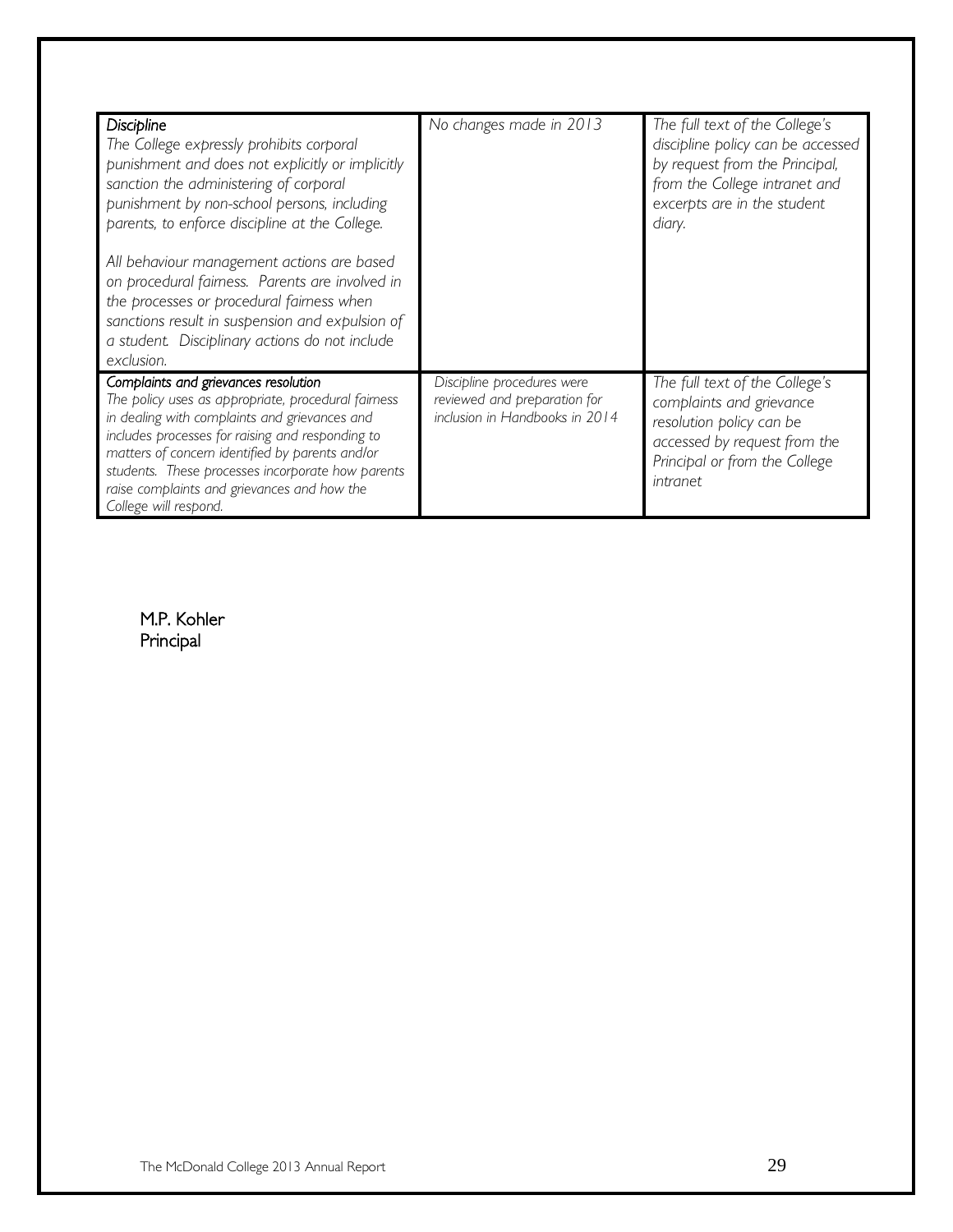| <b>Discipline</b><br>The College expressly prohibits corporal<br>punishment and does not explicitly or implicitly<br>sanction the administering of corporal<br>punishment by non-school persons, including<br>parents, to enforce discipline at the College.<br>All behaviour management actions are based<br>on procedural fairness. Parents are involved in<br>the processes or procedural fairness when<br>sanctions result in suspension and expulsion of | No changes made in 2013                                                                      | The full text of the College's<br>discipline policy can be accessed<br>by request from the Principal,<br>from the College intranet and<br>excerpts are in the student<br>diary. |
|---------------------------------------------------------------------------------------------------------------------------------------------------------------------------------------------------------------------------------------------------------------------------------------------------------------------------------------------------------------------------------------------------------------------------------------------------------------|----------------------------------------------------------------------------------------------|---------------------------------------------------------------------------------------------------------------------------------------------------------------------------------|
| a student. Disciplinary actions do not include<br>exclusion.                                                                                                                                                                                                                                                                                                                                                                                                  |                                                                                              |                                                                                                                                                                                 |
| Complaints and grievances resolution<br>The policy uses as appropriate, procedural fairness<br>in dealing with complaints and grievances and<br>includes processes for raising and responding to<br>matters of concern identified by parents and/or<br>students. These processes incorporate how parents<br>raise complaints and grievances and how the<br>College will respond.                                                                              | Discipline procedures were<br>reviewed and preparation for<br>inclusion in Handbooks in 2014 | The full text of the College's<br>complaints and grievance<br>resolution policy can be<br>accessed by request from the<br>Principal or from the College<br>intranet             |

M.P. Kohler Principal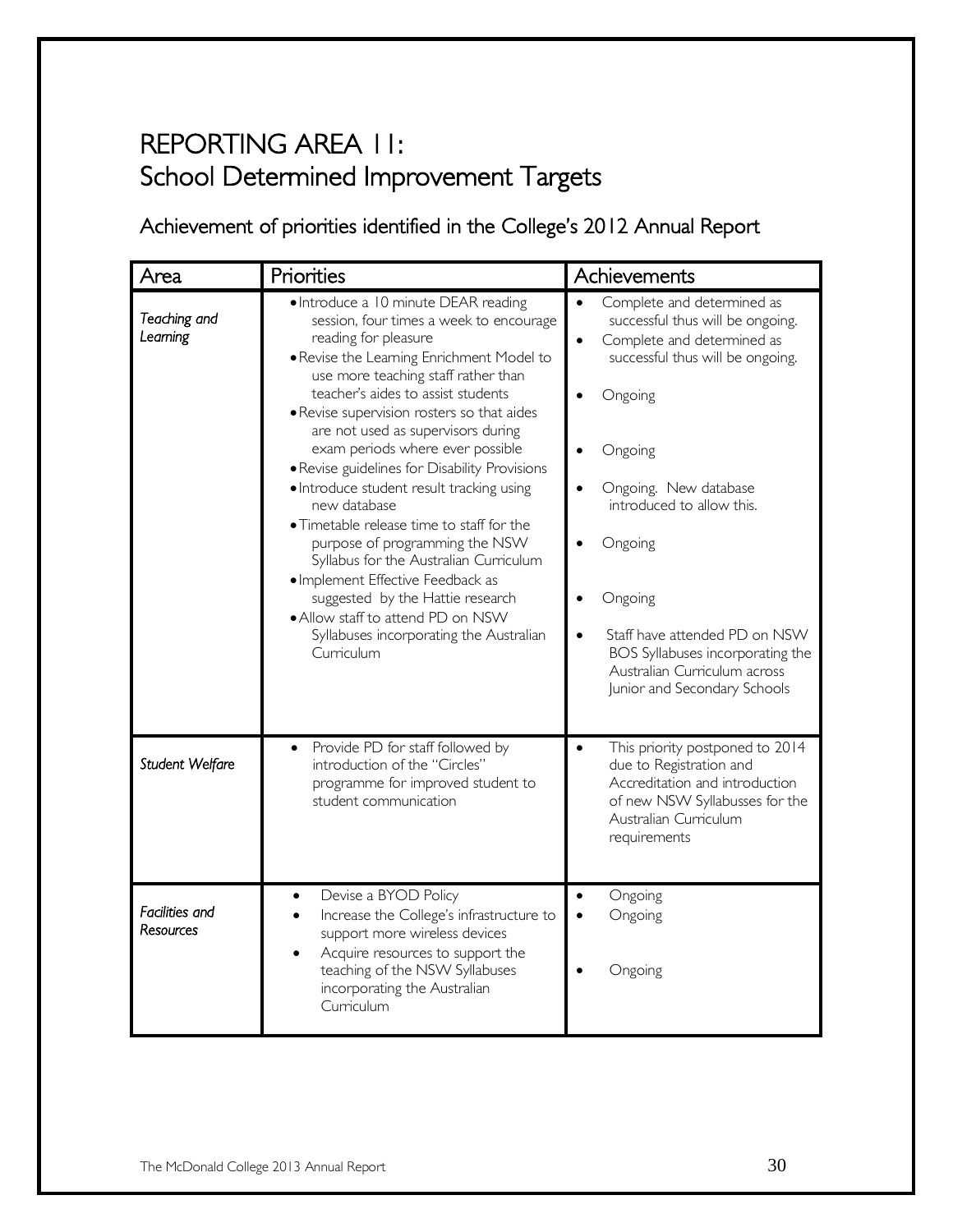# REPORTING AREA 11: School Determined Improvement Targets

Achievement of priorities identified in the College's 2012 Annual Report

| Area                        | Priorities                                                                                                                                                                                                                                                                                                                                                                                                                                                                                                                                                                                                                                                                                                                                                              | Achievements                                                                                                                                                                                                                                                                                                                                                                                                                |
|-----------------------------|-------------------------------------------------------------------------------------------------------------------------------------------------------------------------------------------------------------------------------------------------------------------------------------------------------------------------------------------------------------------------------------------------------------------------------------------------------------------------------------------------------------------------------------------------------------------------------------------------------------------------------------------------------------------------------------------------------------------------------------------------------------------------|-----------------------------------------------------------------------------------------------------------------------------------------------------------------------------------------------------------------------------------------------------------------------------------------------------------------------------------------------------------------------------------------------------------------------------|
| Teaching and<br>Leaming     | • Introduce a 10 minute DEAR reading<br>session, four times a week to encourage<br>reading for pleasure<br>. Revise the Learning Enrichment Model to<br>use more teaching staff rather than<br>teacher's aides to assist students<br>• Revise supervision rosters so that aides<br>are not used as supervisors during<br>exam periods where ever possible<br>· Revise guidelines for Disability Provisions<br>· Introduce student result tracking using<br>new database<br>• Timetable release time to staff for the<br>purpose of programming the NSW<br>Syllabus for the Australian Curriculum<br>· Implement Effective Feedback as<br>suggested by the Hattie research<br>. Allow staff to attend PD on NSW<br>Syllabuses incorporating the Australian<br>Curriculum | Complete and determined as<br>$\bullet$<br>successful thus will be ongoing.<br>Complete and determined as<br>$\bullet$<br>successful thus will be ongoing.<br>Ongoing<br>Ongoing<br>Ongoing. New database<br>$\bullet$<br>introduced to allow this.<br>Ongoing<br>Ongoing<br>Staff have attended PD on NSW<br>$\bullet$<br>BOS Syllabuses incorporating the<br>Australian Curriculum across<br>Junior and Secondary Schools |
| Student Welfare             | Provide PD for staff followed by<br>$\bullet$<br>introduction of the "Circles"<br>programme for improved student to<br>student communication                                                                                                                                                                                                                                                                                                                                                                                                                                                                                                                                                                                                                            | This priority postponed to 2014<br>$\bullet$<br>due to Registration and<br>Accreditation and introduction<br>of new NSW Syllabusses for the<br>Australian Curriculum<br>requirements                                                                                                                                                                                                                                        |
| Facilities and<br>Resources | Devise a BYOD Policy<br>Increase the College's infrastructure to<br>$\bullet$<br>support more wireless devices<br>Acquire resources to support the<br>teaching of the NSW Syllabuses<br>incorporating the Australian<br>Curriculum                                                                                                                                                                                                                                                                                                                                                                                                                                                                                                                                      | Ongoing<br>Ongoing<br>$\bullet$<br>Ongoing                                                                                                                                                                                                                                                                                                                                                                                  |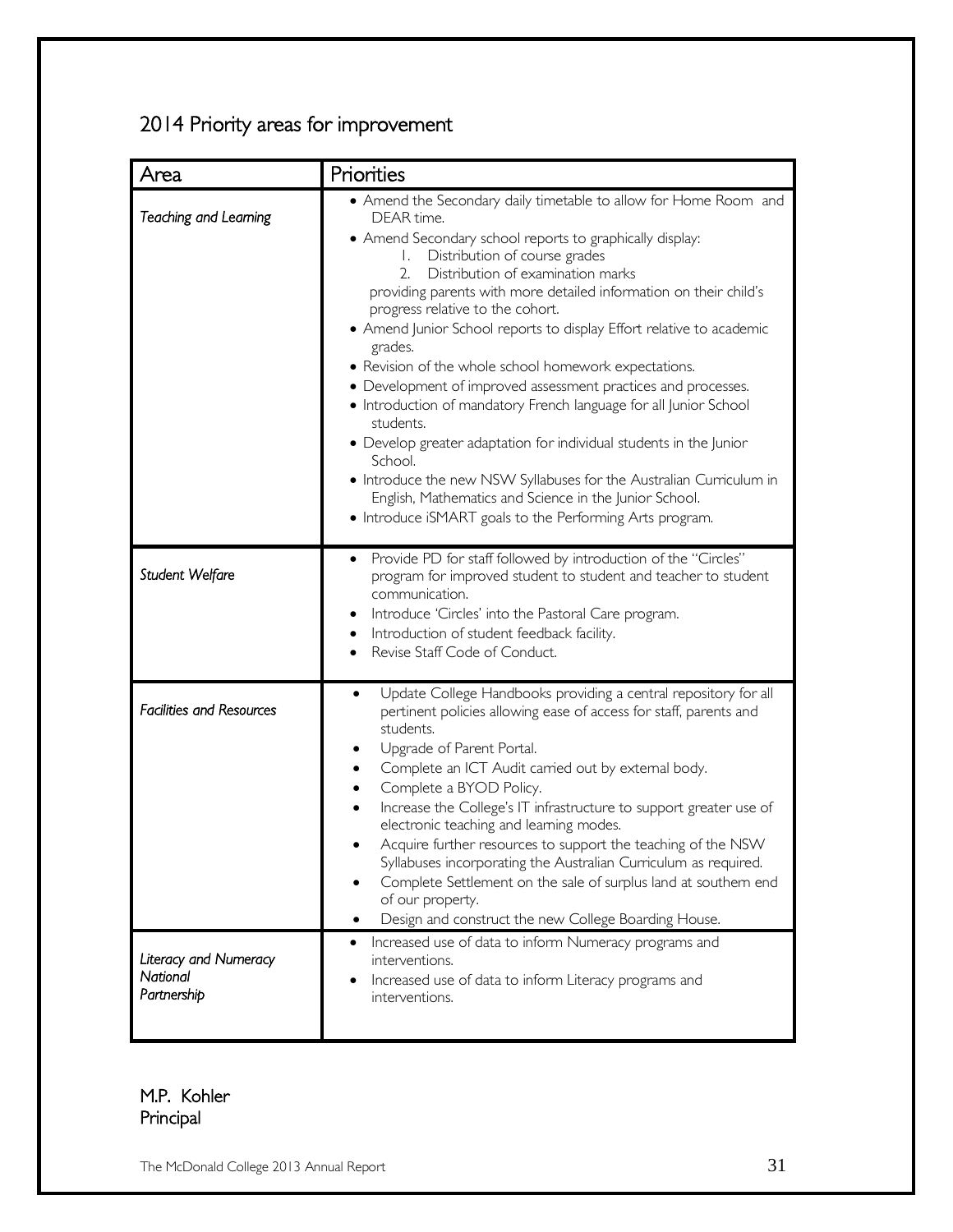### 2014 Priority areas for improvement

| Area                                             | Priorities                                                                                                                                                                                                                                                                                                                                                                                                                                                                                                                                                                                                                                                                                                                                                                                                                                                                                                         |
|--------------------------------------------------|--------------------------------------------------------------------------------------------------------------------------------------------------------------------------------------------------------------------------------------------------------------------------------------------------------------------------------------------------------------------------------------------------------------------------------------------------------------------------------------------------------------------------------------------------------------------------------------------------------------------------------------------------------------------------------------------------------------------------------------------------------------------------------------------------------------------------------------------------------------------------------------------------------------------|
| Teaching and Learning                            | • Amend the Secondary daily timetable to allow for Home Room and<br>DEAR time.<br>• Amend Secondary school reports to graphically display:<br>Distribution of course grades<br>Ι.<br>Distribution of examination marks<br>2.<br>providing parents with more detailed information on their child's<br>progress relative to the cohort.<br>• Amend Junior School reports to display Effort relative to academic<br>grades.<br>• Revision of the whole school homework expectations.<br>• Development of improved assessment practices and processes.<br>• Introduction of mandatory French language for all Junior School<br>students.<br>• Develop greater adaptation for individual students in the Junior<br>School.<br>• Introduce the new NSW Syllabuses for the Australian Curriculum in<br>English, Mathematics and Science in the Junior School.<br>• Introduce iSMART goals to the Performing Arts program. |
| Student Welfare                                  | Provide PD for staff followed by introduction of the "Circles"<br>$\bullet$<br>program for improved student to student and teacher to student<br>communication.<br>Introduce 'Circles' into the Pastoral Care program.<br>Introduction of student feedback facility.<br>٠<br>Revise Staff Code of Conduct.                                                                                                                                                                                                                                                                                                                                                                                                                                                                                                                                                                                                         |
| <b>Facilities and Resources</b>                  | Update College Handbooks providing a central repository for all<br>٠<br>pertinent policies allowing ease of access for staff, parents and<br>students.<br>Upgrade of Parent Portal.<br>Complete an ICT Audit carried out by external body.<br>٠<br>Complete a BYOD Policy.<br>Increase the College's IT infrastructure to support greater use of<br>electronic teaching and learning modes.<br>Acquire further resources to support the teaching of the NSW<br>Syllabuses incorporating the Australian Curriculum as required.<br>Complete Settlement on the sale of surplus land at southern end<br>of our property.<br>Design and construct the new College Boarding House.                                                                                                                                                                                                                                      |
| Literacy and Numeracy<br>National<br>Partnership | Increased use of data to inform Numeracy programs and<br>interventions.<br>Increased use of data to inform Literacy programs and<br>interventions.                                                                                                                                                                                                                                                                                                                                                                                                                                                                                                                                                                                                                                                                                                                                                                 |

### M.P. Kohler Principal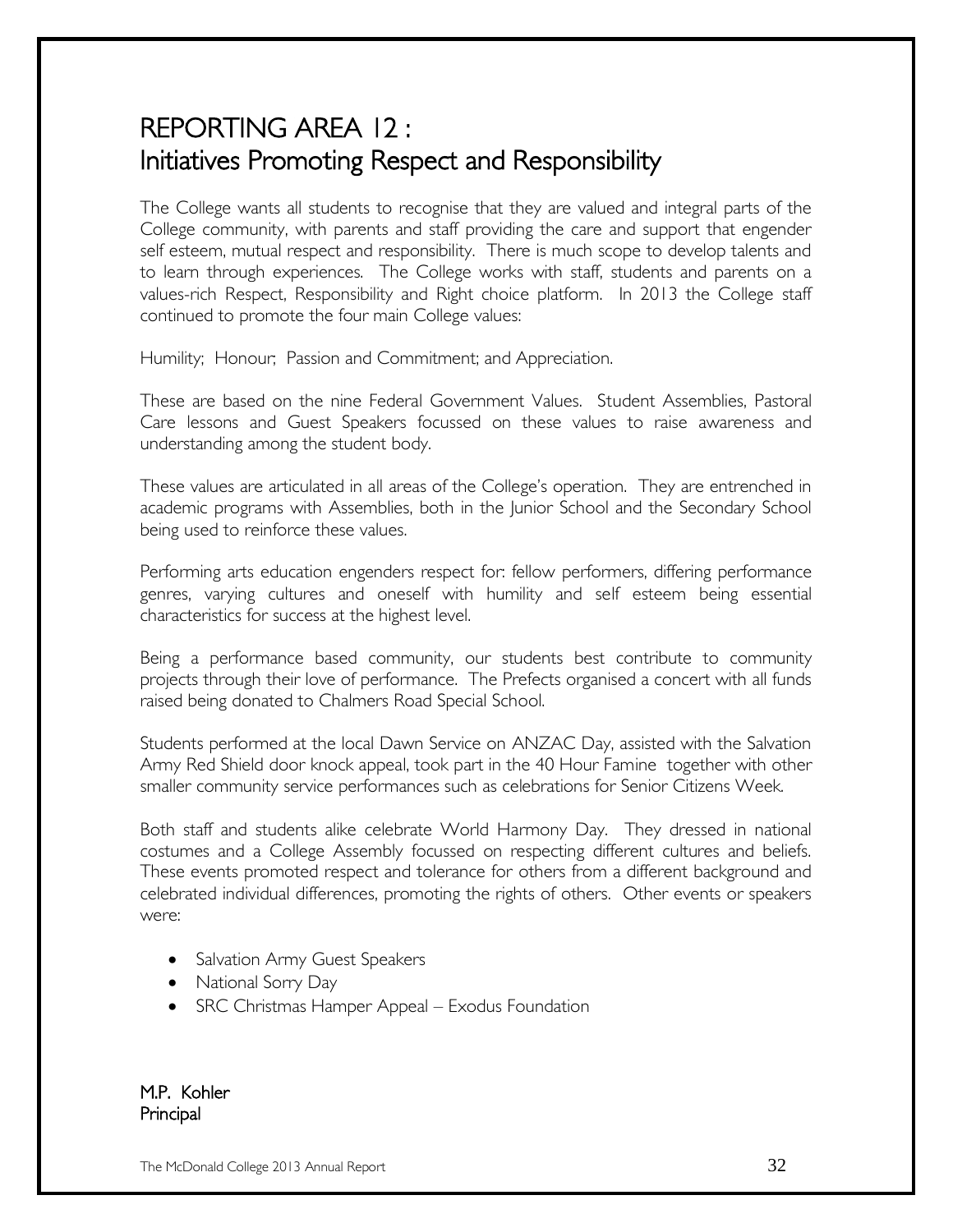# REPORTING AREA 12 : Initiatives Promoting Respect and Responsibility

The College wants all students to recognise that they are valued and integral parts of the College community, with parents and staff providing the care and support that engender self esteem, mutual respect and responsibility. There is much scope to develop talents and to learn through experiences. The College works with staff, students and parents on a values-rich Respect, Responsibility and Right choice platform. In 2013 the College staff continued to promote the four main College values:

Humility; Honour; Passion and Commitment; and Appreciation.

These are based on the nine Federal Government Values. Student Assemblies, Pastoral Care lessons and Guest Speakers focussed on these values to raise awareness and understanding among the student body.

These values are articulated in all areas of the College's operation. They are entrenched in academic programs with Assemblies, both in the Junior School and the Secondary School being used to reinforce these values.

Performing arts education engenders respect for: fellow performers, differing performance genres, varying cultures and oneself with humility and self esteem being essential characteristics for success at the highest level.

Being a performance based community, our students best contribute to community projects through their love of performance. The Prefects organised a concert with all funds raised being donated to Chalmers Road Special School.

Students performed at the local Dawn Service on ANZAC Day, assisted with the Salvation Army Red Shield door knock appeal, took part in the 40 Hour Famine together with other smaller community service performances such as celebrations for Senior Citizens Week.

Both staff and students alike celebrate World Harmony Day. They dressed in national costumes and a College Assembly focussed on respecting different cultures and beliefs. These events promoted respect and tolerance for others from a different background and celebrated individual differences, promoting the rights of others. Other events or speakers were:

- Salvation Army Guest Speakers
- National Sorry Day
- SRC Christmas Hamper Appeal Exodus Foundation

M.P. Kohler Principal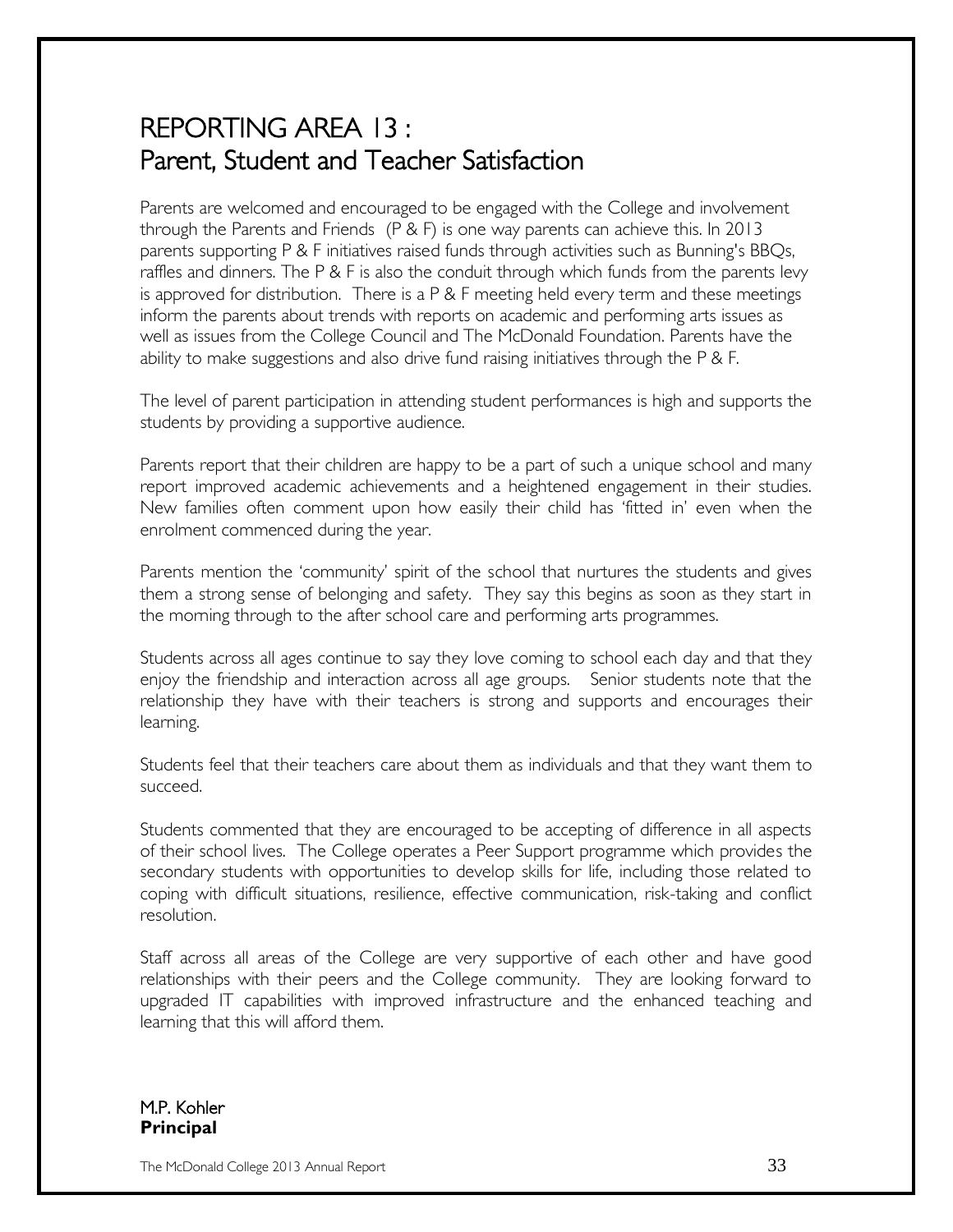# REPORTING AREA 13 : Parent, Student and Teacher Satisfaction

Parents are welcomed and encouraged to be engaged with the College and involvement through the Parents and Friends (P & F) is one way parents can achieve this. In 2013 parents supporting P & F initiatives raised funds through activities such as Bunning's BBQs, raffles and dinners. The P & F is also the conduit through which funds from the parents levy is approved for distribution. There is a  $P \& F$  meeting held every term and these meetings inform the parents about trends with reports on academic and performing arts issues as well as issues from the College Council and The McDonald Foundation. Parents have the ability to make suggestions and also drive fund raising initiatives through the P & F.

The level of parent participation in attending student performances is high and supports the students by providing a supportive audience.

Parents report that their children are happy to be a part of such a unique school and many report improved academic achievements and a heightened engagement in their studies. New families often comment upon how easily their child has 'fitted in' even when the enrolment commenced during the year.

Parents mention the 'community' spirit of the school that nurtures the students and gives them a strong sense of belonging and safety. They say this begins as soon as they start in the morning through to the after school care and performing arts programmes.

Students across all ages continue to say they love coming to school each day and that they enjoy the friendship and interaction across all age groups. Senior students note that the relationship they have with their teachers is strong and supports and encourages their learning.

Students feel that their teachers care about them as individuals and that they want them to succeed.

Students commented that they are encouraged to be accepting of difference in all aspects of their school lives. The College operates a Peer Support programme which provides the secondary students with opportunities to develop skills for life, including those related to coping with difficult situations, resilience, effective communication, risk-taking and conflict resolution.

Staff across all areas of the College are very supportive of each other and have good relationships with their peers and the College community. They are looking forward to upgraded IT capabilities with improved infrastructure and the enhanced teaching and learning that this will afford them.

M.P. Kohler **Principal**

The McDonald College 2013 Annual Report  $33$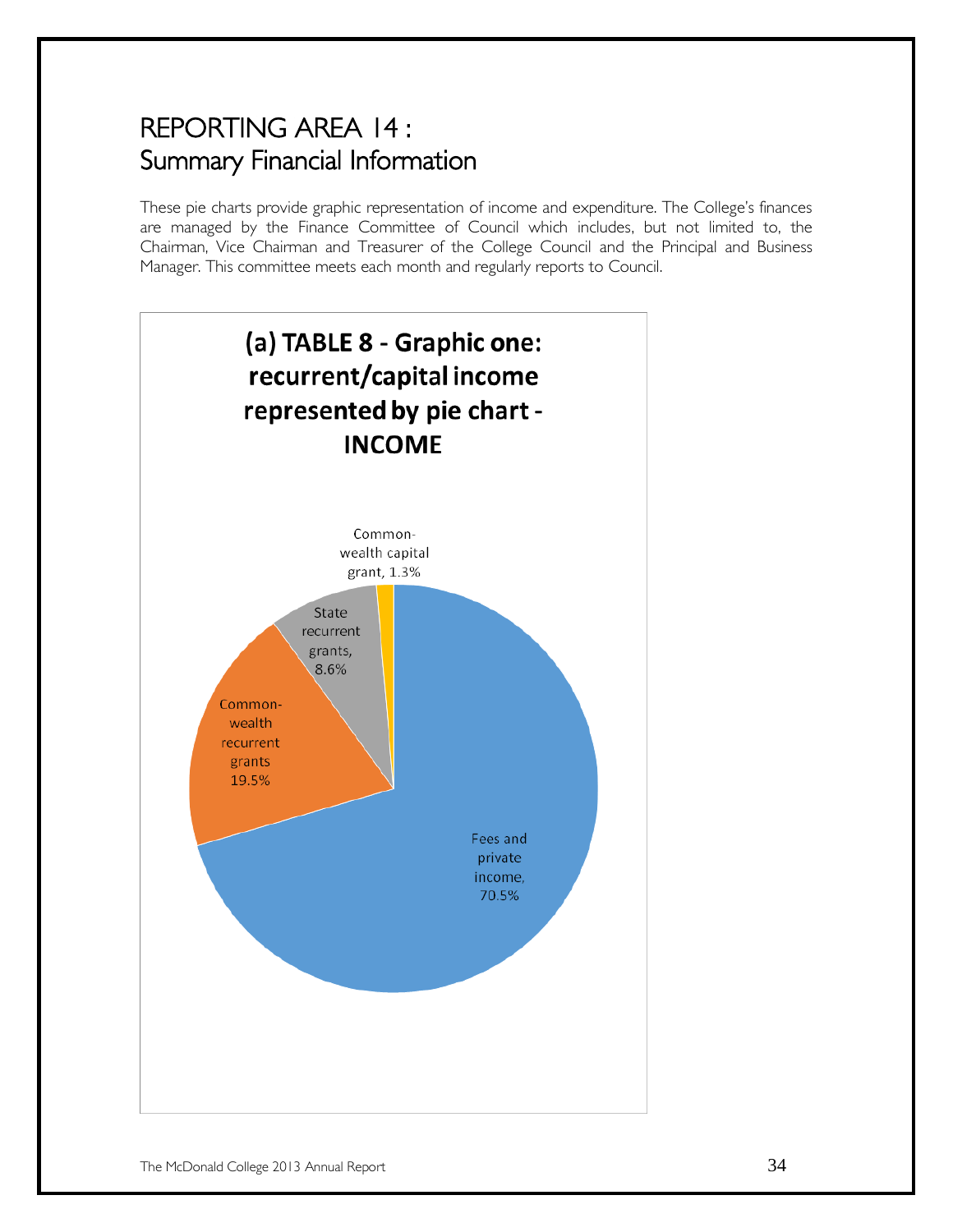# REPORTING AREA 14 : Summary Financial Information

These pie charts provide graphic representation of income and expenditure. The College's finances are managed by the Finance Committee of Council which includes, but not limited to, the Chairman, Vice Chairman and Treasurer of the College Council and the Principal and Business Manager. This committee meets each month and regularly reports to Council.